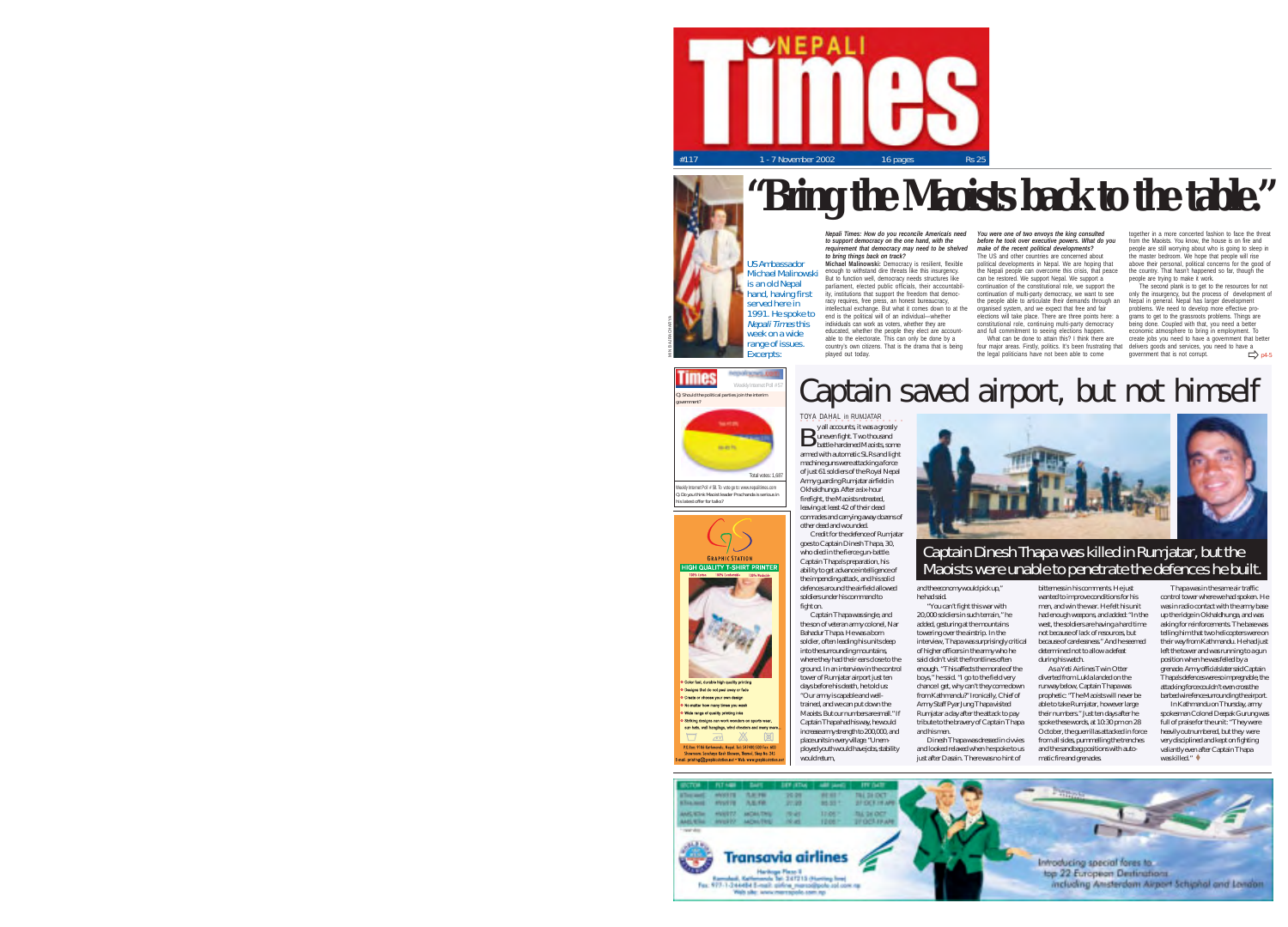



*Nepali Times: How do you reconcile Americaís need You were one of two envoys the king consulted to support democracy on the one hand, with the requirement that democracy may need to be shelved to bring things back on track?*

**Michael Malinowski:** Democracy is resilient, flexible enough to withstand dire threats like this insurgency. But to function well, democracy needs structures like<br>portioment, elected public efficials, their accountability parliament, elected public officials, their accountabil-ity, institutions that support the freedom that democracy requires, free press, an honest bureaucracy, intellectual exchange. But what it comes down to at the end is the political will of an individual—whether individuals can work as voters, whether they are educated, whether the people they elect are accountable to the electorate. This can only be done by a country's own citizens. That is the drama that is being Michael Malinowski Nepali Times this individuals an work as visite, where the year contribution in the position of the spin of the contribution and properties the property of the contribution of the contribution of the contribution of the c

*before he took over executive powers. What do you make of the recent political developments?* make or the recent pointcar developments?

political developments in Nepal. We are hoping that the Nepali people can overcome this crisis, that peace can be restored. We support Nepal. We support a continuation of the constitutional role, we support the continuation of multi-party democracy, we want to see the people able to articulate their demands through an organised system, and we expect that free and fair Nepal in general. Nepal has larger development problems. We need to develop more effective proelections will take place. There are three points here.<br>constitutional role, continuing multi-party democracy<br>and full commitment to seeing elections happen.

the legal politicians have not been able to come

together in a more concerted fashion to face the threat from the Maoists. You know, the house is on fire and people are still worrying about who is going to sleep in the master bedroom. We hope that people will rise above their personal, political concerns for the good of the country. That hasn't happened so far, though the people are trying to make it work.

elections will take place. There are three points here: a grams to get to the grassroots problems. Things are<br>constitutional role, continuing multi-party democracy being done. Coupled with that, you need a better The second plank is to get to the resources for not only the insurgency, but the process of development of economic atmosphere to bring in employment. To

 $\Rightarrow$  p4-5



# **Times** Weekly Internet Poll # 57<br>Q. Should the political parties join the interim TOYA DAHAL in RUMJATAR y all accounts, it was a grossly **B** y all accounts, it was a grossly<br>battle-hardened Maoists, some Total votes: 1,6 wich Internet Poll # 58. To vote go to: www.

US Ambassador

Q. Do you think Maoist leader Prachanda is serious in his latest offer for talks?

C Designs that do not peel away or fade »<br>Create or choose your own design No matter how many times you wast Wide range of quality printing inks Striking designs can work wonders on sports were sun hats, wall hangings, wind cheaters and man

U  $\sqrt{2}$ 一本

**Southern** 

**Constant Market** Facebook, Kallensook 341 347213 (Harting)<br>Fax: 977-1-244484 5-mail: piring marassippin<br>Web ship www.marrapole.com.np

网

-<br>Hardings Plaza 1<br>Generals Tan 3 of 21215 (Number Small

government?

armed with automatic SLRs and light machine guns were attacking a force of just 61 soldiers of the Royal Nepal Army guarding Rumjatar airfield in Okhaldhunga. After a six-hour firefight, the Maoists retreated, leaving at least 42 of their dead comrades and carrying away dozens of

> into the surrounding mountains, and his men.

of higher officers in the army who he said didn't visit the frontlines often enough. "This affects the morale of the boys," he said. "I go to the field very chance I get, why can't they come down from Kathmandu?" Ironically, Chief of Army Staff Pyar Jung Thapa visited Rumjatar a day after the attack to pay tribute to the bravery of Captain Thapa Dinesh Thapa was dressed in civvies

and looked relaxed when he spoke to us just after Dasain. There was no hint of

bitterness in his comments. He just wanted to improve conditions for his men, and win the war. He felt his unit had enough weapons, and added: "In the west, the soldiers are having a hard time not because of lack of resources, but because of carelessness." And he seemed determined not to allow a defeat during his watch.

As a Yeti Airlines Twin Otter diverted from Lukla landed on the runway below, Captain Thapa was prophetic: "The Maoists will never be able to take Rumjatar, however large their numbers." Just ten days after he spoke these words, at 10:30 pm on 28 October, the guerrillas attacked in force from all sides, pummelling the trenches and the sandbag positions with automatic fire and grenades.

top 22 European Destinations

including Ansterdam Airport Schiphal and London

was in radio contact with the army base up the ridge in Okhaldhunga, and was asking for reinforcements. The base was telling him that two helicopters were on their way from Kathmandu. He had just left the tower and was running to a gun position when he was felled by a grenade. Army officials later said Captain Thapa's defences were so impregnable, the attacking force couldn't even cross the barbed wire fence surrounding the airport. In Kathmandu on Thursday, army spokesman Colonel Deepak Gurung was full of praise for the unit: "They were heavily outnumbered, but they were very disciplined and kept on fighting valiantly even after Captain Thapa was killed."  $\triangleleft$ 

Thapa was in the same air traffic control tower where we had spoken. He

other dead and wounded. Credit for the defence of Rumjatar goes to Captain Dinesh Thapa, 30, who died in the fierce gun-battle. Captain Thapa's preparation, his ability to get advance intelligence of the impending attack, and his solid defences around the airfield allowed soldiers under his command to fight on. Captain Thapa was single, and the son of veteran army colonel, Nar Bahadur Thapa. He was a born soldier, often leading his units deep and the economy would pick up," he had said. "You can't fight this war with 20,000 soldiers in such terrain," he added, gesturing at the mountains towering over the airstrip. In the interview, Thapa was surprisingly critical Captain Dinesh Thapa was killed in Rumjatar, but the<br>Maoists were unable to penetrate the defences he built.

where they had their ears close to the ground. In an interview in the control tower of Rumjatar airport just ten days before his death, he told us: "Our army is capable and welltrained, and we can put down the Maoists. But our numbers are small." If Captain Thapa had his way, he would increase army strength to 200,000, and place units in every village. "Unemployed youth would have jobs, stability

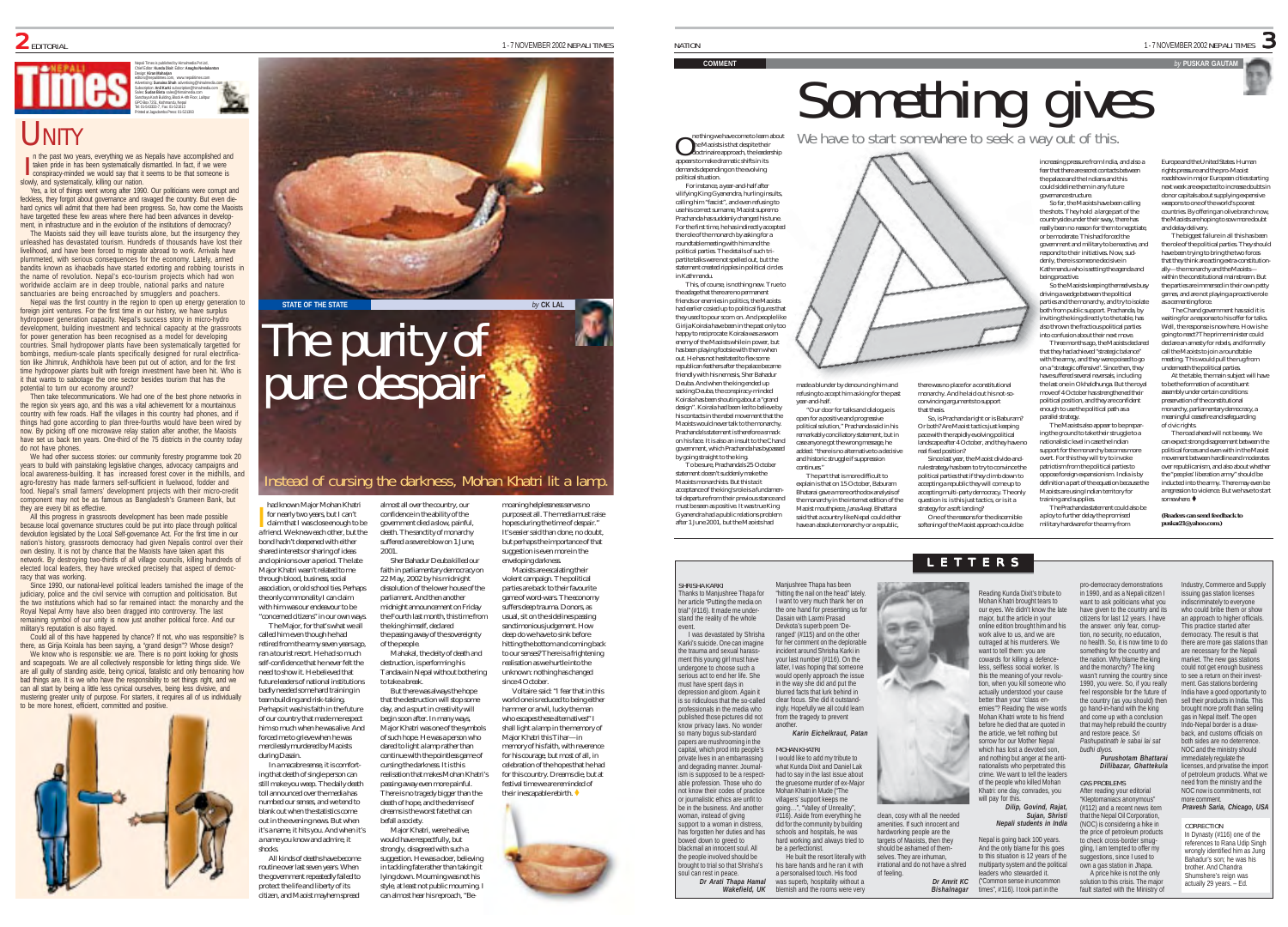### Chief Editor: **Kunda Dixit** Editor: **Anagha Neelakantan** Design: **Kiran Maharjan** editors@nepalitimes.com, www.nepalitimes.com Advertising: **Sunaina Shah** advertising@himalmedia.com Subscription: **Anil Karki** subscription@himalmedia.com Sales: **Sudan Bista** sales@himalmedia.com Sanchaya Kosh Building, Block A-4th Floor, Lalitpur GPO Box 7251, Kathmandu, Nepal Tel: 01-543333-7, Fax: 01-521013 Printed at Jagadamba Press: 01-521393

# UNITY

I n the past two years, everything we as Nepalis have accomplished and taken pride in has been systematically dismantled. In fact, if we were conspiracy-minded we would say that it seems to be that someone is slowly, and systematically, killing our nation.

Nepali Times is published by Himalmedia Pvt Ltd,

Yes, a lot of things went wrong after 1990. Our politicians were corrupt and feckless, they forgot about governance and ravaged the country. But even diehard cynics will admit that there had been progress. So, how come the Maoists have targetted these few areas where there had been advances in development, in infrastructure and in the evolution of the institutions of democracy?

The Maoists said they will leave tourists alone, but the insurgency they unleashed has devastated tourism. Hundreds of thousands have lost their livelihood, and have been forced to migrate abroad to work. Arrivals have plummeted, with serious consequences for the economy. Lately, armed bandits known as khaobadis have started extorting and robbing tourists in the name of revolution. Nepal's eco-tourism projects which had won worldwide acclaim are in deep trouble, national parks and nature sanctuaries are being encroached by smugglers and poachers.

Nepal was the first country in the region to open up energy generation to foreign joint ventures. For the first time in our history, we have surplus hydropower generation capacity. Nepal's success story in micro-hydro development, building investment and technical capacity at the grassroots for power generation has been recognised as a model for developing countries. Small hydropower plants have been systematically targetted for bombings, medium-scale plants specifically designed for rural electrification like Jhimruk, Andhikhola have been put out of action, and for the first time hydropower plants built with foreign investment have been hit. Who is it that wants to sabotage the one sector besides tourism that has the potential to turn our economy around?

Then take telecommunications. We had one of the best phone networks in the region six years ago, and this was a vital achievement for a mountainous country with few roads. Half the villages in this country had phones, and if things had gone according to plan three-fourths would have been wired by now. By picking off one microwave relay station after another, the Maoists have set us back ten years. One-third of the 75 districts in the country today do not have phones.

We had other success stories: our community forestry programme took 20 years to build with painstaking legislative changes, advocacy campaigns and local awareness-building. It has increased forest cover in the midhills, and agro-forestry has made farmers self-sufficient in fuelwood, fodder and food. Nepal's small farmers' development projects with their micro-credit component may not be as famous as Bangladesh's Grameen Bank, but they are every bit as effective.

All this progress in grassroots development has been made possible because local governance structures could be put into place through political devolution legislated by the Local Self-governance Act. For the first time in our nation's history, grassroots democracy had given Nepalis control over their own destiny. It is not by chance that the Maoists have taken apart this network. By destroying two-thirds of all village councils, killing hundreds of elected local leaders, they have wrecked precisely that aspect of democ-

racy that was working. Since 1990, our national-level political leaders tarnished the image of the judiciary, police and the civil service with corruption and politicisation. But the two institutions which had so far remained intact: the monarchy and the Royal Nepal Army have also been dragged into controversy. The last remaining symbol of our unity is now just another political force. And our military's reputation is also frayed.

Could all of this have happened by chance? If not, who was responsible? Is there, as Girija Koirala has been saying, a "grand design"? Whose design? We know who is responsible: we are. There is no point looking for ghosts and scapegoats. We are all collectively responsible for letting things slide. We are all guilty of standing aside, being cynical, fatalistic and only bemoaning how bad things are. It is we who have the responsibility to set things right, and we can all start by being a little less cynical ourselves, being less divisive, and mustering greater unity of purpose. For starters, it requires all of us individually to be more honest, efficient, committed and positive.





# nstead of cursing the darkness, Mohan Khatri lit a lamp.

Mahakal, the deity of death and

But there was always the hope

dared to light a lamp rather than continue with the pointless game of cursing the darkness. It is this realisation that makes Mohan Khatri's passing away even more painful. There is no tragedy bigger than the

befall a society.

had known Major Mohan Khatri for nearly two years, but I can't claim that I was close enough to be a friend. We knew each other, but the bond hadn't deepened with either shared interests or sharing of ideas and opinions over a period. The late Major Khatri wasn't related to me through blood, business, social association, or old school ties. Perhaps the only commonality I can claim with him was our endeavour to be "concerned citizens" in our own ways. The Major, for that's what we all almost all over the country, our confidence in the ability of the government died a slow, painful, death. The sanctity of monarchy suffered a severe blow on 1 June, 2001. faith in parliamentary democracy on 22 May, 2002 by his midnight dissolution of the lower house of the parliament. And then another midnight announcement on Friday the Fourth last month, this time from the king himself, declared

called him even though he had retired from the army seven years ago, ran a tourist resort. He had so much self-confidence that he never felt the need to show it. He believed that future leaders of national institutions badly needed some hard training in team building and risk-taking. Perhaps it was his faith in the future of our country that made me respect him so much when he was alive. And forced me to grieve when he was the passing away of the sovereignty of the people. destruction, is performing his Tandava in Nepal without bothering to take a break. that the destruction will stop some day, and a spurt in creativity will begin soon after. In many ways, Major Khatri was one of the symbols of such hope. He was a person who

mercilessly murdered by Maoists during Dasain. In a macabre sense, it is comforting that death of single person can still make you weep. The daily death toll announced over the media has numbed our senses, and we tend to blank out when the statistics come out in the evening news. But when it's a name, it hits you. And when it's a name you know and admire, it

shocks.

I

All kinds of deaths have become routine over last seven years. When the government repeatedly failed to protect the life and liberty of its citizen, and Maoist mayhem spread Sher Bahadur Deuba killed our moaning helplessness serves no purpose at all. The media must raise hopes during the time of despair." It's easier said than done, no doubt, but perhaps the importance of that suggestion is even more in the enveloping darkness.

> Maoists are escalating their violent campaign. The political parties are back to their favourite game of word-wars. The economy suffers deep trauma. Donors, as usual, sit on the sidelines passing sanctimonious judgement. How deep do we have to sink before hitting the bottom and coming back to our senses? There is a frightening realisation as we hurtle into the unknown: nothing has changed since 4 October Voltaire said: "I fear that in this

world one is reduced to being either hammer or anvil, lucky the man who escapes these alternatives!" I shall light a lamp in the memory of Major Khatri this Tihar—in memory of his faith, with reverence for his courage, but most of all, in celebration of the hopes that he had for this country. Dreams die, but at festival time we are reminded of their inescapable rebirth.



lying down. Mourning was not his style, at least not public mourning. I can almost hear his reproach, "Be-



government, which Prachanda has bypassed by going straight to the king. To be sure, Prachanda's 25 October statement doesn't suddenly make the Maoists monarchists. But this tacit<br>accentance of the king's role is a fundament acceptance of the king's role is a fundamen-tal departure from their previous stance and must be seen as positive. It was true King Gyanendra had a public relations problem after 1 June 2001, but the Maoists had added: "there is no alternative to a decisive and historic struggle if suppression continues." The part that is more difficult to explain is that on 15 October, Baburam Bhatarai gave a more orthodox analysis of the monarchy in the internet edition of the Maoist mouthpiece, Jana Awaj. Bhattarai said that a country like Nepal could either have an absolute monarchy or a republic,

made a blunder by denouncing him and refusing to accept him as king for the past year-and-half.

"Our door for talks and dialogue is open for a positive and progressive political solution," Prachanda said in his remarkably conciliatory statement, but in case anyone got the wrong message, he

ne thing we have come to learn about **O** he thing we have come to learn about<br>the Maoists is that despite their<br>doctrinaire approach, the leadership appears to make dramatic shifts in its demands depending on the evolving political situation. For instance, a year-and-half after vilifying King Gyanendra, hurling insults, calling him "fascist", and even refusing to use his correct surname, Maoist supremo Prachanda has suddenly changed his tune. For the first time, he has indirectly accepted the role of the monarch by asking for a roundtable meeting with him and the political parties. The details of such tripartite talks were not spelled out, but the statement created ripples in political circles

This, of course, is nothing new. True to the adage that there are no permanent friends or enemies in politics, the Manists had earlier cosied up to political figures that they used to pour scorn on. And people like Girija Koirala have been in the past only too happy to reciprocate: Koirala was a sworn enemy of the Maoists while in power, but has been playing footsie with them when out. He has not hesitated to flex some republican feathers after the palace became friendly with his nemesis, Sher Bahadur Deuba. And when the king ended up sacking Deuba, the conspiracy-minded Koirala has been shouting about a "grand design". Koirala had been led to believe by his contacts in the rebel movement that the Maoists would never talk to the monarchy. Prachanda's statement is therefore a smack on his face. It is also an insult to the Chand

*Wakefield, UK* blemish and the rooms were very

be a perfectionist.

another.

MOHAN KHATRI

SHRISHA KARKI Thanks to Manjushree Thapa for her article "Putting the media on trial" (#116). It made me understand the reality of the whole event.

in Kathmandu.

NATION

I was devastated by Shrisha Karki's suicide. One can imagine the trauma and sexual harassment this young girl must have undergone to choose such a serious act to end her life. She must have spent days in depression and gloom. Again it is so ridiculous that the so-called professionals in the media who published those pictures did not know privacy laws. No wonder so many bogus sub-standard papers are mushrooming in the capital, which prod into people's private lives in an embarra and degrading manner. Journalism is supposed to be a respectable profession. Those who do not know their codes of practice or journalistic ethics are unfit to be in the business. And another woman, instead of giving support to a woman in distress has forgotten her duties and has bowed down to greed to blackmail an innocent soul. All the people involved should be brought to trial so that Shrisha's soul can rest in peace. *Dr Arati Thapa Hamal*



increasing pressure from India, and also a fear that there are secret contacts between the palace and the Indians and this could sideline them in any future governance structure.

So far, the Maoists have been calling the shots. They hold a large part of the countryside under their sway, there has really been no reason for them to negotiate, or be moderate. This had forced the government and military to be reactive, and respond to their initiatives. Now, suddenly, there is someone decisive in

Kathmandu who is setting the agenda and being proactive. So the Manists keeping themselves busy driving a wedge between the political parties and the monarchy, and try to isolate ally—the monarchy and the Maoists the parties are immersed in their own petty games, and are not playing a proactive role

both from public support. Prachanda, by inviting the king directly to the table, has also thrown the fractious political parties into confusion about their next move. Three months ago, the Maoists declared that they had achieved "strategic balance" with the army, and they were poised to go on a "strategic offensive". Since then, they have suffered several reversals, including the last one in Okhaldhunga. But the royal move of 4 October has strengthened their

political position, and they are confident enough to use the political path as a parallel strategy. The Maoists also appear to be preparing the ground to take their struggle to a assembly under certain conditions: of civic rights.

pace with the rapidly evolving political pace with the rapidly evolving political<br>landscape after 4 October, and they have no Since last year, the Maoist divide-andrule strategy has been to try to convince the political parties that if they climb down to accepting a republic they will come up to accepting multi-party democracy. The only question is: is this just tactics, or is it a nationalistic level in case the Indian support for the monarchy becomes mor overt. For this they will try to invoke patriotism from the political parties to oppose foreign expansionism. India is by definition a part of the equation because the Maoists are using Indian territory for training and supplies.

strategy for a soft landing? One of the reasons for the discernible softening of the Maoist approach could be The Prachanda statement could also be a ploy to further delay the promised military hardware for the army from

**COMMENT SOMMENT SOMMENT**<br>
We have to start somewhere to seek a way out of this.

there was no place for a constitutional monarchy. And he laid out his not-soconvincing arguments to support that thesis.

real fixed position?

So, is Prachanda right or is Baburam? Or both? Are Maoist tactics just keeping

*Bishalnagar* times", #116). I took part in the

*Dilip, Govind, Rajat, Sujan, Shristi Nepali students in India* in 1990, and as a Nepali citizen I want to ask politicians what you have given to the country and its citizens for last 12 years. I have the answer: only fear, corruption, no security, no education, no health. So, it is now time to do something for the country and the nation. Why blame the king and the monarchy? The king wasn't running the country since 1990, you were. So, if you really feel responsible for the future of the country (as you should) then go hand-in-hand with the king and come up with a conclusion that may help rebuild the country and restore peace. *Sri Pashupatinath le sabai lai sat budhi diyos. Purushotam Bhattarai Dillibazar, Ghattekula* issuing gas station licenses who could bribe them or show an approach to higher officials. This practice started after democracy. The result is that there are more gas stations than

pro-democracy demonstrations

GAS PROBLEMS After reading your editorial "Kleptomaniacs anonymous" (#112) and a recent news item that the Nepal Oil Corporation (NOC) is considering a hike in the price of petroleum products to check cross-border smuggling, I am tempted to offer my suggestions, since I used to own a gas station in Jhapa. A price hike is not the only

solution to this crisis. The major fault started with the Ministry of

are necessary for the Nepali market. The new gas stations could not get enough business to see a return on their investment. Gas stations bordering India have a good opportunity to sell their products in India. This brought more profit than selling gas in Nepal itself. The open Indo-Nepal border is a drawback, and customs officials on both sides are no deterrence. NOC and the ministry should immediately regulate the licenses, and privatise the import

Industry, Commerce and Supply

indiscriminately to everyone

1-7NOVEMBER 2002 NEPALLTIMES

Europe and the United States. Human rights pressure and the pro-Maoist roadshow in major European cities starting next week are expected to increase doubts in donor capitals about supplying expensive weapons to one of the world's poorest countries. By offering an olive branch now, the Maoists are hoping to sow more doubt and delay delivery. The biggest failure in all this has been the role of the political parties. They should have been trying to bring the two forces that they think are acting extra-constitution-

within the constitutional mainstream. But

s a cementing force. The Chand government has said it is ting for a response to his offer for talks. Well, the response is now here. How is he going to react? The prime minister could declare an amesty for rebels, and formally call the Maoists to join a roundtable meeting. This would pull the rug from underneath the political parties. At the table, the main subject will have to be the formation of a constituent

preservation of the constitutional monarchy, parliamentary democracy, a meaningful ceasefire and safeguarding

somewhere. ! *(Readers can send feedback to puskar21@yahoo.com.)*

The road ahead will not be easy. We can expect strong disagreement between the political forces and even with in the Maoist movement between hardline and moderates over republicanism, and also about whether the "peoples' liberation army" should be inducted into the army. There may even be a regression to violence. But we have to start

> need from the ministry and the NOC now is commitments, not

references to Rana Udip Singh wrongly identified him as Jung Bahadur's son; he was his brother. And Chandra Shumshere's reign was actually 29 years. – Ed.



of petroleum products. What we

more comment. *Pravesh Saria, Chicago, USA*

CORRECTION In Dynasty (#116) one of the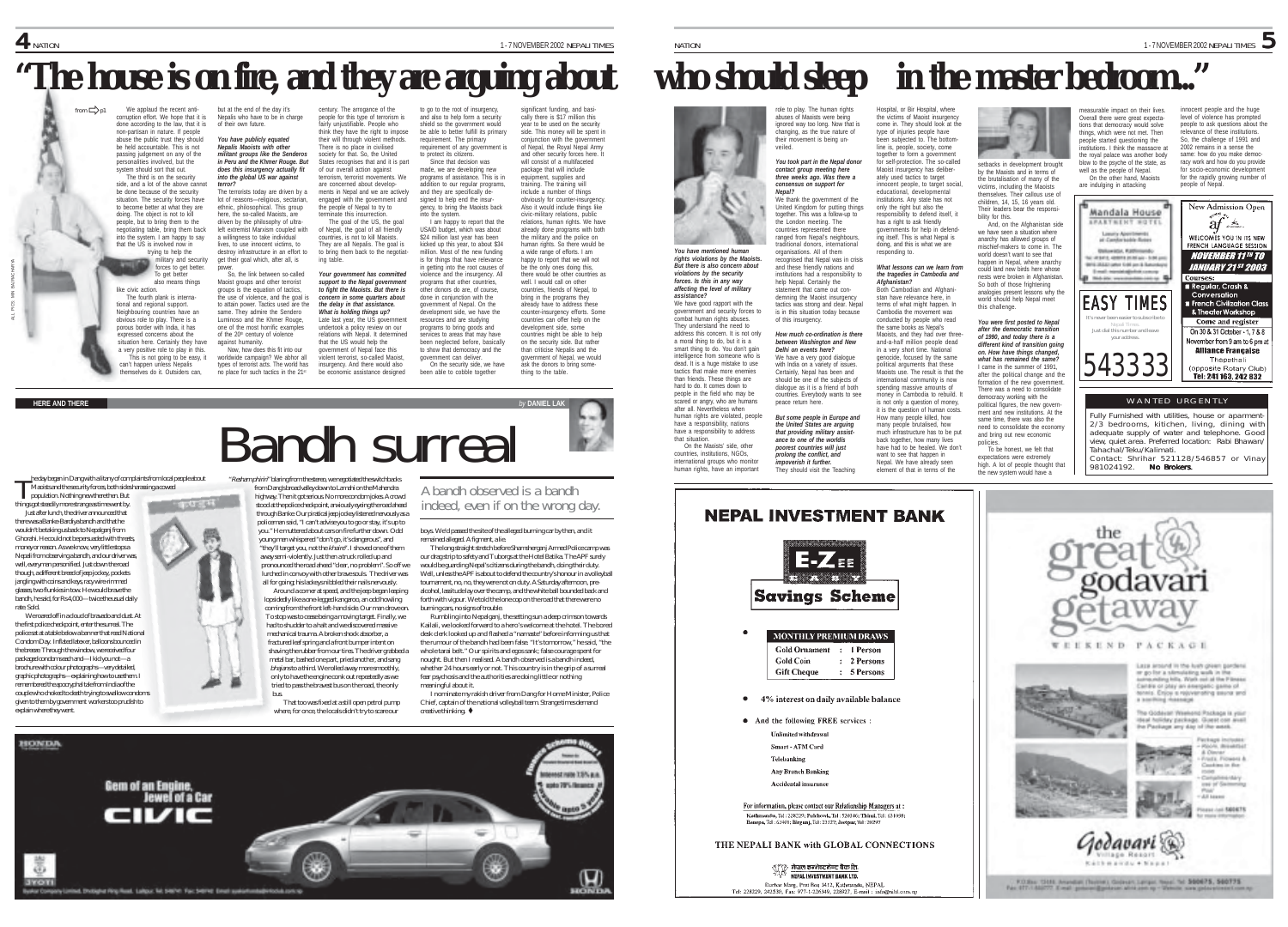# **"The house is on fire, and they are arguing about who should sleep in the master bedroom..."**

We applaud the recent anti-corruption effort. We hope that it is done according to the law, that it is non-partisan in nature. If people abuse the public trust they should be held accountable. This is not passing judgement on any of the personalities involved, but the system should sort that out. The third is on the security side, and a lot of the above cannot be done because of the security situation. The security forces have inuation. The security forces have<br>o become better at what they are doing. The object is not to kill people, but to bring them to the negotiating table, bring them back into the system. I am happy to say that the US is involved now in trying to help the military and security forces to get better. To get better also means things like civic action. The fourth plank is international and regional support. Neighbouring countries have an obvious role to play. There is a porous border with India, it has expressed concerns about the situation here. Certainly they have a very positive role to play in this. This is not going to be easy, it but at the end of the day it's Nepalis who have to be in charge of their own future. *You have publicly equated Nepalís Maoists with other militant groups like the Senderos in Peru and the Khmer Rouge. But does this insurgency actually fit into the global US war against terror?* The terrorists today are driven by a lot of reasons—religious, sectarian, ethnic, philosophical. This group here, the so-called Manists, are driven by the philosophy of ultraleft extremist Marxism coupled with a willingness to take individual lives, to use innocent victims, to destroy infrastructure in an effort to get their goal which, after all, is power. So, the link between so-called Maoist groups and other terrorist groups is the equation of tactics, the use of violence, and the goal is to attain power. Tactics used are the same. They admire the Sendero Luminoso and the Khmer Rouge one of the most horrific examples of the 20<sup>th</sup> century of violence against humanity. Now, how does this fit into our worldwide campaign? We abhor all from philosophy from the expecta-blue of the measurable the best pact of the second of the second of the controller on the controller in the controller in the controller in the controller in the controller in the controll

types of terrorist acts. The world has century. The arrogance of the people for this type of terrorism is fairly unjustifiable. People who think they have the right to impose their will through violent methods. There is no place in civilised society for that. So, the United States recognises that and it is part of our overall action against terrorism, terrorist movements. We are concerned about developments in Nepal and we are actively engaged with the government and the people of Nepal to try to terminate this insurrection. The goal of the US, the goal of Nepal, the goal of all friendly countries, is not to kill Maoists. They are all Nepalis. The goal is to bring them back to the negotiating table. *Your government has committed support to the Nepal government to fight the Maoists. But there is concern in some quarters about the delay in that assistance. What is holding things up?* Late last year, the US government undertook a policy review on our relations with Nepal. It determined that the US would help the government of Nepal face this violent terrorist, so-called Maoist,

Bandh surreal

insurgency. And there would also be economic assistance designed be able to better fulfill its primary requirement. The primary requirement of any government is to protect its citizens. Since that decision was made, we are developing new programs of assistance. This is in addition to our regular programs, and they are specifically designed to help end the insur-gency, to bring the Maoists back into the system. I am happy to report that the USAID budget, which was about \$24 million last year has been kicked up this year, to about \$34 million. Most of the new funding is for things that have relevance in getting into the root causes of violence and the insurgency. All programs that other countries, other donors do are, of course, done in conjunction with the government of Nepal. On the development side, we have the resources and are studying programs to bring goods and services to areas that may have been neglected before, basically to show that democracy and the government can deliver. On the security side, we have been able to cobble together

to go to the root of insurgency, and also to help form a security shield so the government would

significant funding, and basi-cally there is \$17 million this year to be used on the security side. This money will be spent in conjunction with the government of Nepal, the Royal Nepal Army and other security forces here. It will consist of a multifaceted package that will include equipment, supplies and training. The training will include a number of things obviously for counter-insurgency. Also it would include things like civic-military relations, public relations, human rights. We have already done programs with both the military and the police on human rights. So there would be a wide range of efforts. I am happy to report that we will not be the only ones doing this, there would be other countries as well. I would call on other countries, friends of Nepal, to bring in the programs they already have to address these counter-insurgency efforts. Some countries can offer help on the development side, some countries might be able to help on the security side. But rather than criticise Nepalis and the government of Nepal, we would ask the donors to bring something to the table.

# **HERE AND THERE** *by* **DANIEL LAK**

ALL PICS: MIN BAJRACHARYA

he day began in Dang with a litany of complaints from local people about Maoists and the security forces, both sides harassing a cowed

can't happen unless Nepalis themselves do it. Outsiders can,

population. Nothing new there then. But things got steadily more strange as time went by Just after lunch, the driver announced that

there was a Banke-Bardiya bandh and that he wouldn't be taking us back to Nepalganj from Ghorahi. He could not be persuaded with threats, money or reason. As we know, very little stops a Nepali from observing a bandh, and our driver was, well, everyman personified. Just down the road though, a different breed of jeep jockey, pockets jangling with coins and keys, racy wire-rimmed glasses, two flunkies in tow. He would brave the bandh, he said, for Rs 4,000—twice the usual daily rate. Sold.

We roared off in a cloud of bravado and dust. At the first police checkpoint, enter the surreal. The police sat at a table below a banner that read National Condom Day. Inflated latex er, balloons bounced in the breeze. Through the window, we received four packaged condoms each and—I kid you not—a brochure with colour photographs—very detailed, graphic photographs—explaining how to use them. I remembered the apocryphal tale from India of the couple who choked to death trying to swallow condoms given to them by government workers too prudish to explain where they went.



no place for such tactics in the  $21<sup>st</sup>$ 

bus.

policeman said, "I can't advise you to go or stay, it's up to you." He muttered about cars on fire further down. Odd young men whispered "don't go, it's dangerous", and "they'll target you, not the khaire". I shoved one of them away semi-violently. Just then a truck rolled up and pronounced the road ahead "clear, no problem". So off we lurched in convoy with other brave souls. The driver was all for going; his lackeys nibbled their nails nervously.

Around a corner at speed, and the jeep began leaping lopsidedly like a one-legged kangaroo, an odd howling coming from the front left-hand side. Our man drove on. To stop was to cease being a moving target. Finally, we had to shudder to a halt and we discovered massive mechanical trauma. A broken shock absorber, a fractured leaf spring and a front bumper intent on shaving the rubber from our tires. The driver grabbed a metal bar, bashed one part, pried another, and sang bhajans to a third. We rolled away more smoothly, only to have the engine conk out repeatedly as we

tried to pass the bravest bus on the road, the only

That too was fixed at a still open petrol pump where, for once, the locals didn't try to scare our

A bandh observed is a bandh indeed, even if on the wrong day.

boys. We'd passed the site of the alleged burning car by then, and it remained alleged. A figment, a lie.

The long straight stretch before Shamsherganj Armed Police camp was our drag strip to safety and Tuborgs at the Hotel Batika. The APF surely would be guarding Nepal's citizens during the bandh, doing their duty. Well, unless the APF is about to defend the country's honour in a volleyball tournament, no, no, they were not on duty. A Saturday afternoon, prealcohol, lassitude lay over the camp, and the white ball bounded back and forth with vigour. We told the lone cop on the road that there were no burning cars, no signs of trouble.

Rumbling into Nepalganj, the setting sun a deep crimson towards Kailali, we looked forward to a hero's welcome at the hotel. The bored desk clerk looked up and flashed a "namaste" before informing us that the rumour of the bandh had been false. "It's tomorrow," he said, "the whole tarai belt." Our spirits and egos sank: false courage spent for nought. But then I realised. A bandh observed is a bandh indeed. whether 24 hours early or not. This country is in the grip of a surreal fear psychosis and the authorities are doing little or nothing meaningful about it.

I nominate my rakish driver from Dang for Home Minister, Police Chief, captain of the national volleyball team. Strange times demand creative thinking.  $\bullet$ 



role to play. The human rights abuses of Maoists were being ignored way too long. Now that is changing, as the true nature of their movement is being unveiled.

*You took part in the Nepal donor contact group meeting here three weeks ago. Was there a consensus on support for Nepal?* We thank the government of the United Kingdom for putting things

*You have mentioned human* together. This was a follow-up to the London meeting. The countries represented there ranged from Nepal's neighbou raditional donors, international organisations. All of them

*rights violations by the Maoists. But there is also concern about violations by the security forces. Is this in any way affecting the level of military* **assistance?**<br>We have good rapport with the government and security forces to combat human rights abuses. recognised that Nepal was in crisis and these friendly nations and institutions had a responsibility to help Nepal. Certainly the statement that came out condemning the Maoist insurgency tactics was strong and clear. Nepal is in this situation today because of this insurgency.

*assistance?*

They understand the need to address this concern. It is not only a moral thing to do, but it is a a moral unity to do, but it is a intelligence from someone who is dead. It is a huge mistake to use tactics that make more enemies than friends. These things are hard to do. It comes down to people in the field who may be scared or angry, who are humans after all. Nevertheless when human rights are violated, people have a responsibility, nations have a responsibility to address *How much co-ordination is there between Washington and New Delhi on events here?* We have a very good dialogue with India on a variety of issues. Certainly, Nepal has been and should be one of the subjects of dialogue as it is a friend of both countries. Everybody wants to see peace return here. *But some people in Europe and the United States are arguing that providing military assist-*

that situation On the Maoists' side, other countries, institutions, NGOs, international groups who monitor human rights, have an important *ance to one of the worldís poorest countries will just prolong the conflict, and impoverish it further.* They should visit the Teaching



line is, people, society, come together to form a government for self-protection. The so-called Maoist insurgency has deliberately used tactics to target r dood tactico to target<br>innocent people, to target social educational, developmental institutions. Any state has not only the right but also the responsibility to defend itself, it has a right to ask friendly governments for help in defending itself. This is what Nepal is doing, and this is what we are

Hospital, or Bir Hospital, where the victims of Maoist insurgency come in. They should look at the type of injuries people have been subjected to. The bottom-

responding to. *What lessons can we learn from the tragedies in Cambodia and Afghanistan?*

Both Cambodian and Afghanistan have relevance here, in terms of what might happen. In Cambodia the movement was conducted by people who read the same books as Nepal's Maoists, and they had over threeand-a-half million people dead in a very short time. National<br>conocide. focused by the came genocide, focused by the same political arguments that these Maoists use. The result is that the international community is now spending massive amounts of money in Cambodia to rebuild. It is not only a question of money, it is the question of human costs. How many people killed, how this challenge. same time, there was also the

many people brutalised, how much infrastructure has to be put hack together, how many lives have had to be healed. We don't want to see that happen in Nepal. We have already seen element of that in terms of the

**B** setbacks in development brought

by the Maoists and in terms of the brutalisation of many of the victims, including the Maoists themselves. Their callous use of children, 14, 15, 16 years old. Their leaders bear the responsibility for this. And, on the Afghanistan side

we have seen a situation where anarchy has allowed groups of mischief-makers to come in. The world doesn't want to see that happen in Nepal, where anarchy could land new birds here whose nests were broken in Afghanistan. So both of those frightening analogies present lessons why the world should help Nepal meet

*You were first posted to Nepal after the democratic transition of 1990, and today there is a different kind of transition going on. How have things changed, what has remained the same?* I came in the summer of 1991 after the political change and the formation of the new government. There was a need to consolidate democracy working with the political figures, the new government and new institutions. At the

need to consolidate the economy and bring out new economic policies. nuros.<br>To ha honest, we falt that expectations were extremely high. A lot of people thought that the new system would have a

people started questioning the institutions. I think the massacre at the royal palace was another body blow to the psyche of the state, as well as the people of Nepal. On the other hand, Maoists are indulging in attacking

2002 remains in a sense the same: how do you make democracy work and how do you provide for socio-economic development for the rapidly growing number of people of Nepal.



Fully Furnished with utilities, house or aparment 2/3 bedrooms, kitichen, living, dining with adequate supply of water and telephone. Good view, quiet area. Preferred location: Rabi Bhawan/ Tahachal/Teku/Kalimati. Contact: Shrihar 521128/546857 or Vinay 981024192. No Brokers.



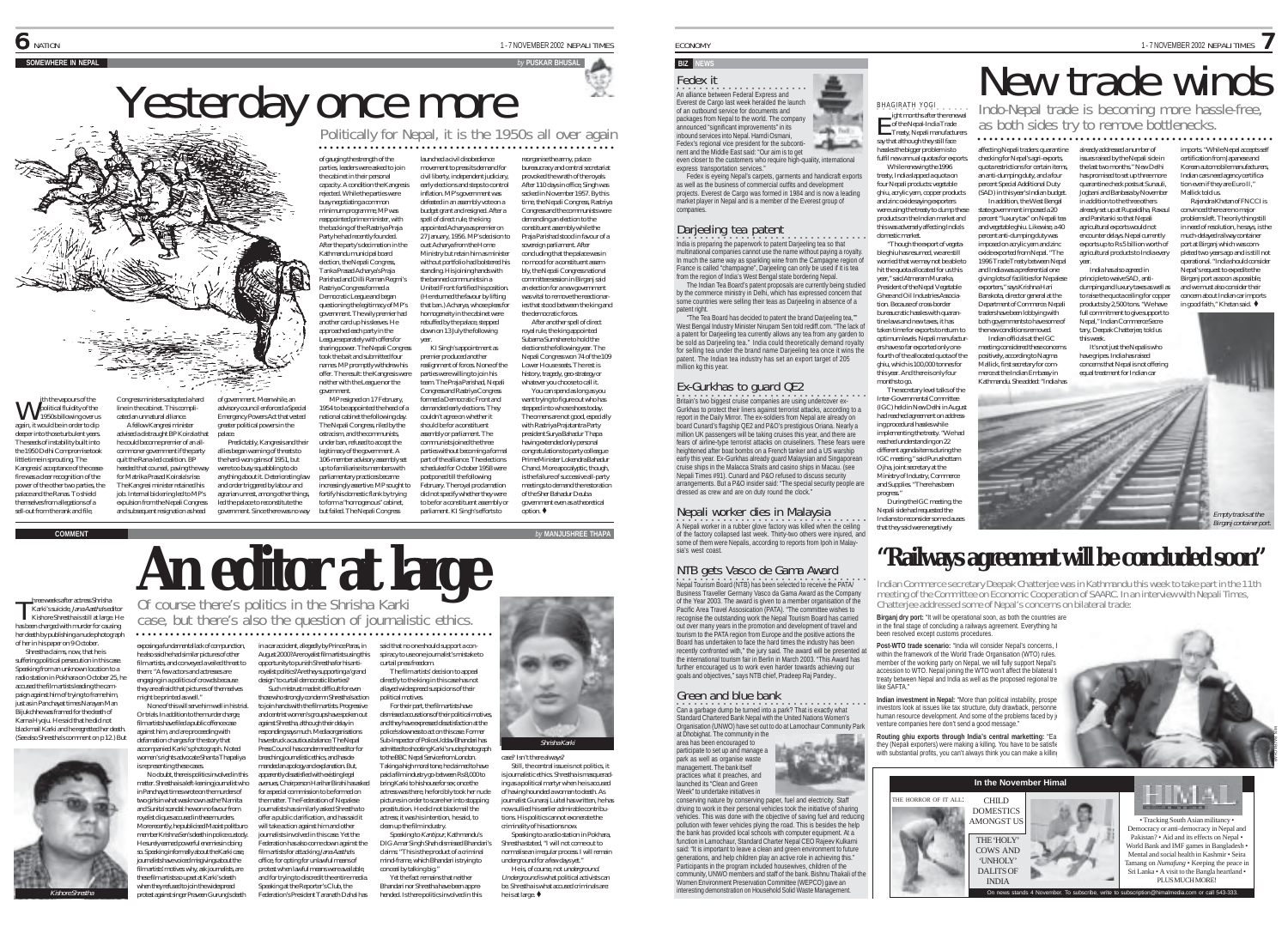### ith the vapours of the political fluidity of the th the vapours of the<br>political fluidity of the<br>1950s billowing over us again, it would be in order to dip deeper into those turbulent years. The seeds of instability built into the 1950 Delhi Compromise took little time in sprouting. The Kangresis' acceptance of the ceasefire was a clear recognition of the power of the other two parties, the palace and the Ranas. To shield Congress ministers adopted a hard line in the cabinet. This complicated an unnatural alliance. A fellow Kangresi minister advised a distraught BP Koirala that he could become premier of an allcommoner government if the party quit the Rana-led coalition. BP heeded that counsel, paving the way for Matrika Prasad Koirala's rise. The Kangresi minister retained his job. Internal bickering led to MP's

themselves from allegations of a sell-out from the rank and file,

**An editor at large** hree weeks after actress Shrisha Karki's suicide, Jana Aastha's editor has been charged with murder for causing T

Kishore Shrestha is still at large. He her death by publishing a nude photograph of her in his paper on 9 October. Shrestha claims, now, that he is suffering political persecution in this case.

Speaking from an unknown location to a radio station in Pokhara on October 25, he accused the film artists leading the campaign against him of trying to frame him, just as in Panchayat times Narayan Man Bijukchhe was framed for the death of Karna Hyoju. He said that he did not blackmail Karki and he regretted her death. (See also Shrestha's comment on p 12.) But might be printed as well."

is representing these cases. royalist cliques accused in these murders. Kishore Shrestha



member Krishna Sen's death in police custody. He surely earned powerful enemies in doing so. Speaking informally about the Karki case, journalists have voiced misgivings about the film artists' motives: why, ask journalists, are these film artists so upset at Karki's death when they refused to join the widespread protest against singer Praveen Gurung's death

expulsion from the Nepali Congress and subsequent resignation as head

> exposing a fundamental lack of compunction, he also said he had similar pictures of other film artists, and conveyed a veiled threat to them: "A few actors and actresses are engaging in a politics of crowds because they are afraid that pictures of themselves August 2000? Are royalist film artists using this opportunity to punish Shrestha for his antiroyalist politics? Are they supporting a 'grand design' to curtail democratic liberties?

of government. Meanwhile, an advisory council enforced a Special Emergency Powers Act that vested greater political powers in the palace.

Predictably, Kangresis and their allies began warning of threats to the hard-won gains of 1951, but were too busy squabbling to do anything about it. Deteriorating law and order triggered by labour and agrarian unrest, among other things, led the palace to reconstitute the government. Since there was no way

None of this will serve him well in his trial. Or trials. In addition to the murder charge, film artists have filed a public offence case against him, and are proceeding with defamation charges for the story that accompanied Karki's photograph. Noted women's rights advocate Shanta Thapaliya No doubt, there is politics involved in this matter. Shrestha is a left-leaning journalist who in Panchayat times wrote on the murders of two girls in what was known as the 'Namita and Sunita' scandal: he won no favour from

against Shrestha, although their delay in responding says much. Media organisations have struck a cautious balance. The Nepal breaching journalistic ethics, and has demanded an apology and explanation. But, apparently dissatisfied with existing legal

Of course there's politics in the Shrisha Karki case, but there's also the question of journalistic ethics.

○○○○○○○○○○○○ ○○○○○○○○○○○○○○○○○○○○○○○○○○○○○○○○○○○○○○○○○○○○○○○○○○○

More recently, he publicised Maoist politburo protest when lawful means were available,

Such mistrust made it difficult for even those who strongly condemn Shrestha's action to join hands with the film artists. Progressive and centrist women's groups have spoken out Press Council has condemned the editor for

avenues, Chairperson Harihar Birahi has asked for a special commission to be formed on the matter. The Federation of Nepalese Journalists has similarly asked Shrestha to offer a public clarification, and has said it will take action against him and other journalists involved in this case. Yet the Federation has also come down against the film artists for attacking Jana Aastha's office, for opting for unlawful means of

political motives. dismissed accusations of their political motives, and they have expressed dissatisfaction at the police's slowness to act on this case. Former

Yesterday once more more

○○○○○○○○○○○○○○○○○○○○○○○○○○○○○○○○○○○○○○○○○○○○○○○○○○○○

reorganise the army, palace bureaucracy and central secretariat provoked the wrath of the royals. After 110 days in office, Singh was sacked in November 1957. By this time, the Nepali Congress, Rastriya Congress and the communists were demanding an election to the constituent assembly while the Praja Parishad stood in favour of a sovereign parliament. After concluding that the palace was in no mood for a constituent assembly, the Nepali Congress national committee session in Birganj said an election for a new government was vital to remove the reactiona ies that stood between the king and the democratic forces. After another spell of direct royal rule, the king appointed Subarna Sumshere to hold the elections the following year. The Nepali Congress won 74 of the 109 Lower House seats. The rest is history, tragedy, geo-strategy or whatever you choose to call it. You can spend as long as you want trying to figure out who has stepped into whose shoes today. The omens are not good, especially with Rastriya Prajatantra Party president Surya Bahadur Thapa having extended only personal congratulations to party colleague Prime Minister Lokendra Bahadur Chand. More apocalyptic, though, is the failure of successive all-party meetings to demand the restoration of the Sher Bahadur Deuba government even as a theoretical  $ointion$  $\triangle$ 

launched a civil disobedience movement to press its demand for civil liberty, independent judiciary, early elections and steps to control inflation. MP's government was defeated in an assembly vote on a budget grant and resigned. After a spell of direct rule, the king appointed Acharya as premier on 27 January, 1956. MP's decision to oust Acharya from the Home Ministry but retain him as ministe without portfolio had bolstered his standing. His joining hands with the banned communists in a United Front fortified his position. (He returned the favour by lifting that ban.) Acharya, whose pleas fo homogeneity in the cabinet were rebuffed by the palace, stepped down on 13 July the following year. KI Singh's appointment as premier produced another realignment of forces. None of the parties were willing to join his team. The Praja Parishad, Nepali Congress and Rastriya Congress formed a Democratic Front and demanded early elections. They couldn't agree on whether it should be for a constituent assembly or parliament. The communists joined the three parties without becoming a formal part of the alliance. The elections scheduled for October 1958 were postponed till the following February. The royal proclamation did not specify whether they were to be for a constituent assembly or parliament. KI Singh's efforts to

of gauging the strength of the parties, leaders were asked to join the cabinet in their personal capacity. A condition the Kangresis rejected. While the parties were busy negotiating a common minimum programme, MP was reappointed prime minister, with the backing of the Rastriya Praja Party he had recently founded. After the party's decimation in the Kathmandu municipal board election, the Nepali Congress, Tanka Prasad Acharya's Praja Parishad and Dilli Raman Regmi's Rastriya Congress formed a Democratic League and began questioning the legitimacy of MP's government. The wily premier had another card up his sleeves. He approached each party in the League separately with offers for sharing power. The Nepali Congress took the bait and submitted four names. MP promptly withdrew his offer. The result: the Kangresis were neither with the League nor the government. MP resigned on 17 February, 1954 to be appointed the head of a national cabinet the following day. The Nepali Congress, riled by the ostracism, and the communists, under ban, refused to accept the legitimacy of the government. A 106-member advisory assembly set up to familiarise its members with parliamentary practices became increasingly assertive. MP sought to fortify his domestic flank by trying to form a "homogenous" cabinet, but failed. The Nepali Congress

Sub-Inspector of Police Uddav Bhandari has admitted to shooting Karki's nude photograph to the BBC Nepal Service from London. Taking a high moral tone, he claimed to have paid a film industry go-between Rs 8,000 to bring Karki to his house for sex; once the actress was there, he forcibly took her nude pictures in order to scare her into stopping prostitution. He did not blackmail the actress; it was his intention, he said, to clean up the film industry. Speaking to Kantipur, Kathmandu's DIG Amar Singh Shah dismissed Bhandari's claims: "This is the product of a criminal

and for trying to discredit the entire media. Speaking at the Reporter's Club, the Federation's President Taranath Dahal has mind-frame, which Bhandari is trying to conceal by talking big." Yet the fact remains that neither Bhandari nor Shrestha have been apprehended. Is there politics involved in this

in a car accident, allegedly by Prince Paras, in said that no one should support a conspiracy to use one journalist's mistake to curtail press freedom. The film artists' decision to appeal directly to the king in this case has not allayed widespread suspicions of their For their part, the film artists have

Shrisha Karki

case? Isn't there always? Still, the central issue is not politics, it is journalistic ethics. Shrestha is masquerading as a political martyr when he is accused of having hounded a woman to death. As journalist Gunaraj Luitel has written, he has now sullied his earlier admirable contributions. His politics cannot exonerate the criminality of his actions now.

Speaking to a radio station in Pokhara, Shrestha stated, "I will not come out to normalise an irregular process. I will remain underground for a few days yet." He is, of course, not underground.

Underground is what political activists can be. Shrestha is what accused criminals are: he is at large.

# **BIZ NEWS**

companies.

on alliance between Federal Express and Fedex it Everest de Cargo last week heralded the launch

of an outbound service for documents and packages from Nepal to the world. The company announced "significant improvements" in its inbound services into Nepal. Hamdi Osmani, Fedex's regional vice president for the subconti--9 nent and the Middle East said: "Our aim is to get

even closer to the customers who require high-quality, international express transportation services."

Fedex is eyeing Nepal's carpets, garments and handicraft exports as well as the business of commercial outfits and development projects. Everest de Cargo was formed in 1984 and is now a leading market player in Nepal and is a member of the Everest group of

Darjeeling tea patent<br>India is preparing the paperwork to patent Darjeeling tea so that

multinational companies cannot use the name without paying a royalty. In much the same way as sparkling wine from the Campagne region of France is called "champagne", Darjeeling can only be used if it is tea from the region of India's West Bengal state bordering Nepal.

The Indian Tea Board's patent proposals are currently being studied by the commerce ministry in Delhi, which has expressed concern that some countries were selling their teas as Darjeeling in absence of a patent right.

"The Tea Board has decided to patent the brand Darjeeling tea,"" West Bengal Industry Minister Nirupam Sen told rediff.com. "The lack of a patent for Darjeeling tea currently allows any tea from any garden to be sold as Darjeeling tea." India could theoretically demand royalty for selling tea under the brand name Darjeeling tea once it wins the patent. The Indian tea industry has set an export target of 205 million kg this year.

Ex-Gurkhas to guard QE2<br>Britain's two biggest cruise companies are using undercover ex-Gurkhas to protect their liners against terrorist attacks, according to a report in the Daily Mirror. The ex-soldiers from Nepal are already on board Cunard's flagship QE2 and P&O's prestigious Oriana. Nearly a million UK passengers will be taking cruises this year, and there are fears of airline-type terrorist attacks on cruiseliners. These fears were heightened after boat bombs on a French tanker and a US warship early this year. Ex-Gurkhas already guard Malaysian and Singaporean cruise ships in the Malacca Straits and casino ships in Macau. (see Nepali Times #91). Cunard and P&O refused to discuss security arrangements. But a P&O insider said: "The special security people are dressed as crew and are on duty round the clock."

# Nepali worker dies in Malaysia

# some of them were Nepalis, according to reports from Ipoh in Malaysia's west coast

**•**<br>A Nepali worker in a rubber glove factory was killed when the ceiling<br>of the factory collapsed last week. Thirty-two others were injured, and

•<br>Nepal Tourism Board (NTB) has been selected to receive the PATA/ NTB gets Vasco de Gama Award Business Traveller Germany Vasco da Gama Award as the Company of the Year 2003. The award is given to a member organisation of the Pacific Area Travel Assosication (PATA). "The committee wishes to recognise the outstanding work the Nepal Tourism Board has carried out over many years in the promotion and development of travel and tourism to the PATA region from Europe and the positive actions the Board has undertaken to face the hard times the industry has been recently confronted with," the jury said. The award will be presented at the international tourism fair in Berlin in March 2003. "This Award has further encouraged us to work even harder towards achieving our goals and objectives," says NTB chief, Pradeep Raj Pandey..

○○○○○○○○○○○○○○○ ○○○○○○○○○○○○○○○○○○ Can a garbage dump be turned into a park? That is exactly what

**STARE STATION** 

Standard Chartered Bank Nepal with the United Nations Women's

# Green and blue bank

Organisation (UNWO) have set out to do at Lamochaur Community Park at Dhobighat. The community in the area has been encouraged to participate to set up and manage a park as well as organise waste management. The bank itself practices what it preaches, and launched its "Clean and Green Week" to undertake initiatives in

conserving nature by conserving paper, fuel and electricity. Staff work in their personal vehicles took the initiative of sharing vehicles. This was done with the objective of saving fuel and reducing pollution with fewer vehicles plying the road. This is besides the help the bank has provided local schools with computer equipment. At a function in Lamochaur, Standard Charter Nepal CEO Rajeev Kulkarni said: "It is important to leave a clean and green environment to future generations, and help children play an active role in achieving this." Participants in the program included housewives, children of the community, UNWO members and staff of the bank. Bishnu Thakali of the Women Environment Preservation Committee (WEPCO) gave an interesting demonstration on Household Solid Waste Management.

BHAGIRATH YOGI . . . . . **ight months after the renewally continent**<br>
of the Nepal-India Trade<br>
Treaty. Nepali manufacturer Treaty, Nepali manufacturers say that although they still face hassles the bigger problem is to fulfil new annual quotas for exports. While renewing the 1996 treaty, India slapped a quota on four Nepali products: vegetable affecting Nepali traders: quarantine checking for Nepal's agri-exports, quota restrictions for certain items, an anti-dumping duty, and a four percent Special Additional Duty

ECONOMY 1-7 NOVEMBER 2002 NEPALI TIMES

ghiu, acrylic yarn, copper products and zinc oxide saying exporters were using the treaty to dump these products on the Indian market and this was adversely affecting India's "Though the export of vegetable ghiu has resumed, we are still worried that we may not be able to hit the quota allocated for us this year," said Atmaram Murarka, President of the Nepal Vegetable Chee and Oil Industries Association. Because of cross-border bureaucratic hassles with quarantine laws and new taxes, it has (SAD) in this year's Indian budget. In addition, the West Bengal state government imposed a 20 percent "luxury tax" on Nepali tea and vegetable ghiu. Likewise, a 40 percent anti-dumping duty was imposed on acrylic yarn and zinc oxide exported from Nepal. "The 1996 Trade Treaty between Nepal and India was a preferential one giving lots of facilities for Nepalese exporters," says Krishna Hari Banskota, director general at the Department of Commerce. Nepali traders have been lobbying with both governments to have some of

domestic market.

× 15.50 **Die Fort** 

ers have so far exported only one-

ghiu, which is 100,000 tonnes for this year. And there is only four months to go.

Inter-Governmental Committee (IGC) held in New Delhi in August had reached agreement on addressing procedural hassles while implementing the treaty. "We had reached understanding on 22 different agenda items during the IGC meeting," said Purushottam Ojha, joint secretary at the Ministry of Industry, Commerce and Supplies. "There has been progress." During the IGC meeting, the Nepali side had requested the Indians to reconsider some clause that they said were negatively

taken time for exports to return to optimum levels. Nepali manufacturfourth of the allocated quota of the The secretary level talks of the the new conditions removed. Indian officials at the IGC meeting considered these concerns positively, according to Nagma Mallick, first secretary for commerce at the Indian Embassy in Kathmandu. She added: "India has

Empty tracks at the



Indian Commerce secretary Deepak Chatterjee was in Kathmandu this week to take part in the 11th<br>meeting of the Committee on Economic Cooperation of SAARC. In an interview with Nepali Times,<br>Chatteriee addressed some of Nep

**Birganj dry port:** "It will be operational soon, as both the countries are in the final stage of concluding a railways agreement. Everything ha been resolved except customs procedures.

**Post-WTO trade scenario:** "India will consider Nepal's concerns, **t** within the framework of the World Trade Organisation (WTO) rules. member of the working party on Nepal, we will fully support Nepal's accession to WTO. Nepal joining the WTO won't affect the bilateral tradecostor to WTO. Nepal joining the WTO won't affect the bilateral tradecostor treaty between Nepal and India as well as the proposed regional treaty like SAFTA."

**Indian investment in Nepal:** "More than political instability, prospe investors look at issues like tax structure, duty drawback, personnel human resource development. And some of the problems faced by joint venture companies here don't send a good message."

**Routing ghiu exports through India's central marketting: "Earliers"** they (Nepali exporters) were making a killing. You have to be satisfied with substantial profits, you can't always think you can make a killing



Birganj container port.



New trade winds

Indo-Nepal trade is becoming more hassle-free, as both sides try to remove bottlenecks. ○○○○○○○○○○○○○○○○○○○○○○○○○○○○○○○○○○○○○○○○○○ ○○○○○○○○○○

already addressed a number of issues raised by the Nepali side in the last two months." New Delhi has promised to set up three more quarantine check posts at Sunauli, Jogbani and Banbasa by November in addition to the three others already set up at Rupaidiha, Raxaul and Panitanki so that Nepali agricultural exports would not encounter delays. Nepal currently exports up to Rs 5 billion worth of imports. "While Nepal accepts self certification from Japanese and Korean automobile manufacturers, Indian cars need agency certification even if they are Furo II." Mallick told us. Rajendra Khetan of FNCCI is convinced there are no major problems left. The only thing still in need of resolution, he says, is the much-delayed railway container port at Birganj which was com-

agricultural products to India every year. India has also agreed in principle to waive SAD, antidumping and luxury taxes as well as to raise the quota ceiling for conner products by 2,500 tons. "We have full commitment to give support to pleted two years ago and is still not operational. "India should consider Nepal's request to expedite the Birganj port as soon as possible, and we must also consider their concern about Indian car imports in good faith," Khetan said.

Nepal," Indian Commerce Secretary, Deepak Chatterjee, told us this week. It's not just the Nepalis who

have gripes. India has raised concerns that Nepal is not offering equal treatment for Indian car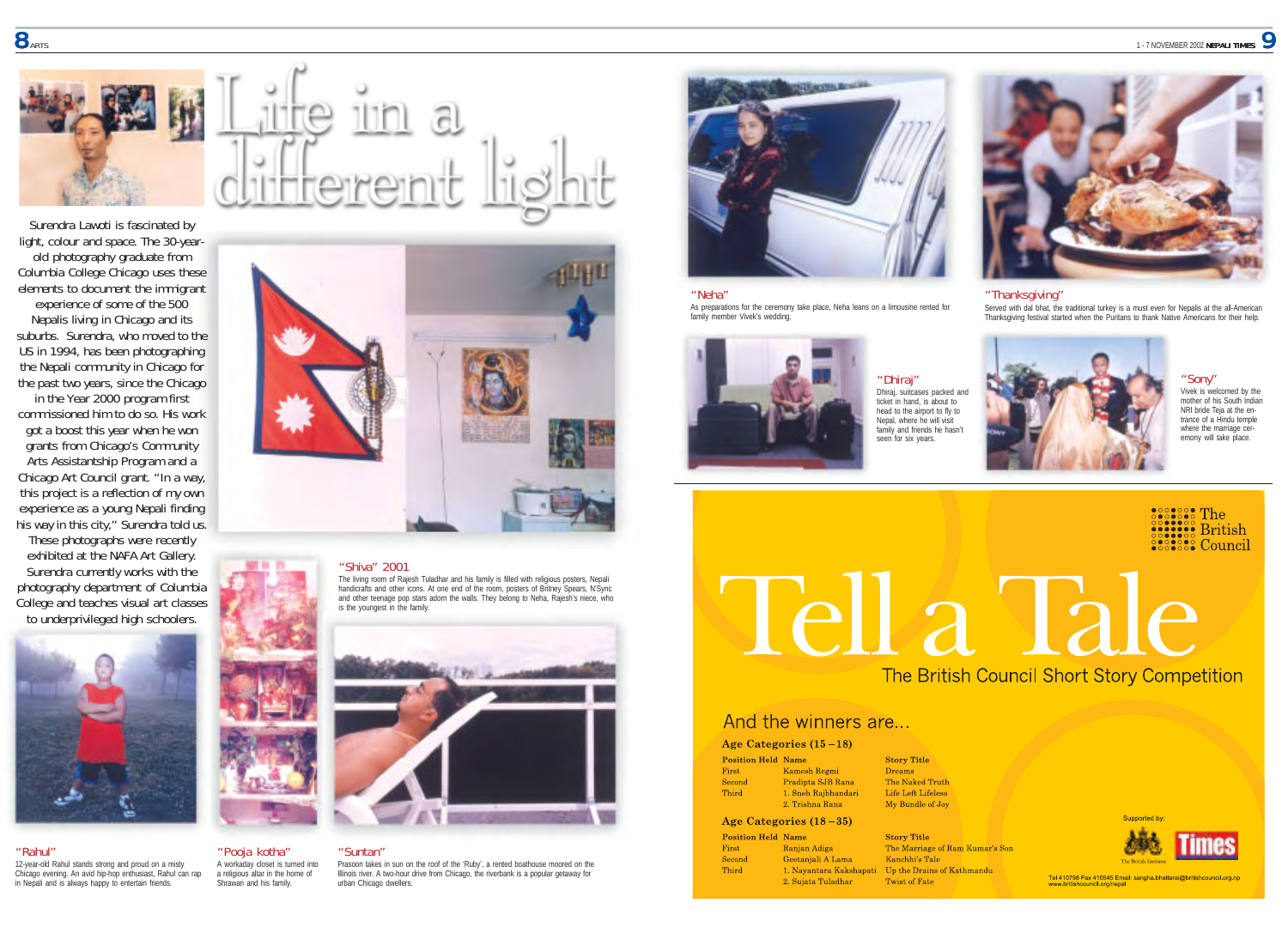

Surendra Lawoti is fascinated by light, colour and space. The 30-yearold photography graduate from Columbia College Chicago uses these elements to document the immigrant experience of some of the 500

Nepalis living in Chicago and its suburbs. Surendra, who moved to the US in 1994, has been photographing the Nepali community in Chicago for the past two years, since the Chicago

in the Year 2000 program first commissioned him to do so. His work got a boost this year when he won grants from Chicago's Community Arts Assistantship Program and a Chicago Art Council grant. "In a way, this project is a reflection of my own experience as a young Nepali finding his way in this city," Surendra told us.

These photographs were recently exhibited at the NAFA Art Gallery. Surendra currently works with the photography department of Columbia College and teaches visual art classes to underprivileged high schoolers.



# "Rahul"

12-year-old Rahul stands strong and proud on a misty Chicago evening. An avid hip-hop enthusiast, Rahul can rap in Nepali and is always happy to entertain friends.



# "Shiva" 2001

The living room of Rajesh Tuladhar and his family is filled with religious posters, Nepali<br>handicrafts and other icons. At one end of the room, posters of Britney Spears, N'Sync<br>and other teenage pop stars adorn the walls. is the youngest in the family.



# "Suntan"

A workaday closet is turned into a religious altar in the home of Shrawan and his family.

Prasoon takes in sun on the roof of the 'Ruby', a rented boathouse moored on the Illinois river. A two-hour drive from Chicago, the riverbank is a popular getaway for urban Chicago dwellers.



# "Neha"

As preparations for the ceremony take place, Neha leans on a limousine rented for family member Vivek's wedding.



"Dhiraj" Dhiraj, suitcases packed and ticket in hand, is about to head to the airport to fly to Nepal, where he will visit family and friends he hasn't seen for six years.



# "Thanksgiving"

Served with dal bhat, the traditional turkey is a must even for Nepalis at the all-American Thanksgiving festival started when the Puritans to thank Native Americans for their help.



"Sony" Vivek is welcomed by the mother of his South Indian NRI bride Teja at the entrance of a Hindu temple where the marriage ceremony will take place.

assessed The<br> **Source British**<br> **Source British**<br> **Contract Council** 

# **Tella Tale**

The British Council Short Story Competition

# And the winners are...

# Age Categories  $(15-18)$

| tion Held Name |               |
|----------------|---------------|
|                | Kamesh Reg    |
| nd             | Pradipta SJI  |
| ł.             | 1. Sneh Rajb  |
|                | 2. Trishna R: |

 $P_{0}$ 

Firs Sec

Thir

First

### **Story Title** Droome The Naked Truth Life Left Lifeless My Bundle of Joy

Age Categories  $(18-35)$ 

Rana

ndari

**Position Held Name Ranjan Adjes** Second Geetaniali A Lama **Third** 2. Suiata Tuladhar

**Story Title** The Marriage of Ram Kumar's Son Kanchhi's Tale 1. Nayantara Kakshapati Up the Drains of Kathmandu Twist of Fate



Tel 410798 Fax 410545 Email: sangha.bhattarai@britishcouncil.org.np<br>www.britishcouncil.org/nepal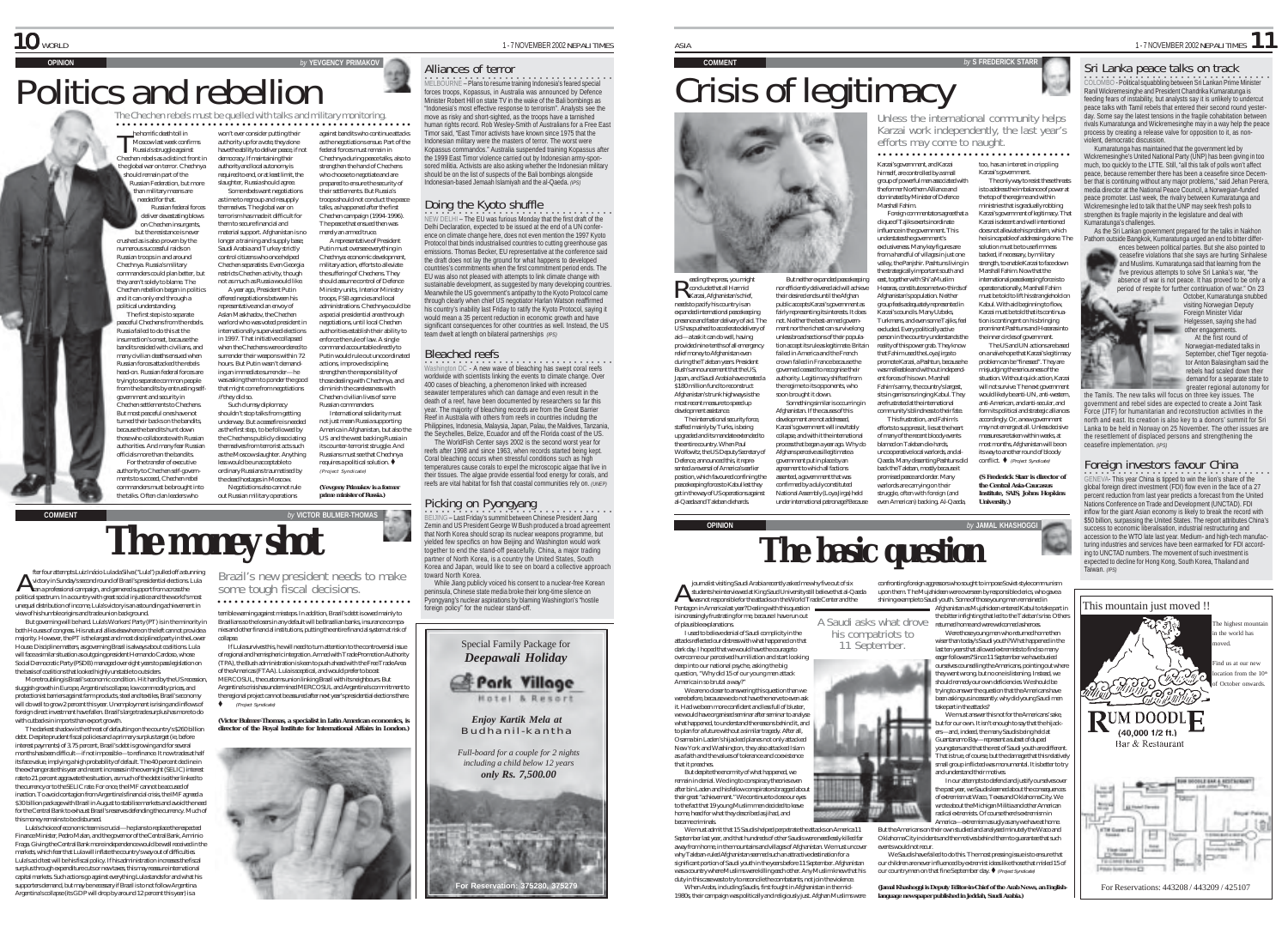$\mathcal{P}_{12}$ 

But neither expanded peacekeeping

# **Crisis of legitimacy**

himself, are controlled by a small

dominated by Minister of Defence Marshall Fahim.

clique of Tajiks exerts inordinate influence in the government. This understates the government's

east, together with Shi'a Muslim

Afghanistan's population. Neither

Karzai's councils. Many Uzbeks,

excluded. Every politically active

- 50

county the press, you mig<br>conclude that all Harmid Reading the press, you might<br>Reading that all Harmid<br>Karzai, Afghanistan's chief, needs to pacify his country is an expanded international peacekeeping nor efficiently delivered aid will achieve their desired ends until the Afghan public accepts Karzai's government as fairly representing its interests. It does soon brought it down. Something similar is occurring in Afghanistan. If the causes of this development are not addressed, Karzai's government will inevitably collapse, and with it the international process that began a year ago. Why do Afghans perceive as illegitimate a government put in place by an

Afghanistan's trunk highways is the most recent measure to speed up development assistance. The international security force, staffed mainly by Turks, is being upgraded and its mandate extended to the entire country. When Paul Wolfowitz, the US Deputy Secretary of Defence, announced this, it repre-

Unless the international community helps Karzai work independently, the last year's efforts may come to naught.

# ○○○○ ○○○○○○○○○○○○○○○○○○○○○○○○○○○○○○

group of powerful men associated with the former Northern Alliance and Foreign commentators agree that a exclusiveness. Many key figures are<br>from a handful of villages in just one from a handful of villages in just one valley, the Panjshir. Pashtuns living in the strategically important south and Hezaras, constitute some two-thirds of group feels adequately represented in Turkmens, and even some Tajiks, feel person in the country understands the reality of this power grab. They know Karzai's government. The only way to resist these threats is to address the imbalance of power at the top of the regime and within ministries that is gradually robbing Karzai's government of legitimacy. That Karzai is decent and well intentioned does not alleviate his problem, which he is incapable of addressing alone. The solution must be to use firmness backed, if necessary, by military strength, to enable Karzai to face down Marshall Fahim. Now that the international peacekeeping force is to operate nationally, Marshall Fahim must be told to lift his stranglehold on Kabul. With aid beginning to flow, Karzai must be told that its continuation is contingent on his bringing prominent Pashtuns and Hezaras into the inner circles of government.

that Fahim used the Loya Jirga to promote Karzai, a Pashtun, because he was malleable and without independent forces of his own. Marshall Fahim's army, the country's largest, sits in garrisons ringing Kabul. They are frustrated at the international community's blindness to their fate. This frustration, and Fahim's efforts to suppress it, lies at the heart of many of the recent bloody events blamed on Taleban die-hards, uncooperative local warlords, and al-Qaeda. Many dissenting Pashtuns did most months, Afghanistan will be on its way to another round of bloody conflict.  $\blacklozenge$  (Project Syndicate)

promised peace and order. Many warlords are carrying on their struggle, often with foreign (and even American) backing. Al-Qaeda, *University.)*

### Karzai's government, and Karzai too, has an interest in crippling

The US and UN actions are based on a naïve hope that Karzai's legitimacy problem can be "finessed". They are misjudging the seriousness of the situation. Without quick action, Karzai will not survive. The next government would likely be anti-UN, anti-western anti-American, and anti-secular, and form its political and strategic alliances accordingly. Or, a new government may not emerge at all. Unless decisive measures are taken within weeks, at

back the Taleban, mostly because it *(S Frederick Starr is director of the Central Asia-Caucasus Institute, SAIS, Johns Hopkins*

•<br>COLOMBO - Political squabbling between Sri Lankan Prime Minister Ranil Wickremesinghe and President Chandrika Kumaratunga is feeding fears of instability, but analysts say it is unlikely to undercut peace talks with Tamil rebels that entered their second round yesterday. Some say the latest tensions in the fragile cohabitation between rivals Kumaratunga and Wickremesinghe may in a way help the peace process by creating a release valve for opposition to it, as nonviolent, democratic discussion.

Sri Lanka peace talks on track

Kumaratunga has maintained that the government led by Wickremesinghe's United National Party (UNP) has been giving in too much, too quickly to the LTTE. Still, "all this talk of polls won't affect peace, because remember there has been a ceasefire since December that is continuing without any major problems," said Jehan Perera, media director at the National Peace Council, a Norwegian-funded peace promoter. Last week, the rivalry between Kumaratunga and Wickremesinghe led to talk that the UNP may seek fresh polls to strengthen its fragile majority in the legislature and deal with Kumaratunga's challenges.

 $\frac{1}{1}$  - 7 NOVEMBER 2002 NEPALI TIMES 1

As the Sri Lankan government prepared for the talks in Nakhon Pathom outside Bangkok, Kumaratunga urged an end to bitter differences between political parties. But she also pointed to

ceasefire violations that she says are hurting Sinhalese and Muslims. Kumaratunga said that learning from the five previous attempts to solve Sri Lanka's war, "the absence of war is not peace. It has proved to be only a period of respite for further continuation of war." On 23

October, Kumaratunga snubbed visiting Norwegian Deputy Foreign Minister Vidar Helgessen, saying she had

other engagements. At the first round of Norwegian-mediated talks in September, chief Tiger negotiator Anton Balasingham said the rebels had scaled down their demand for a separate state to

the Tamils. The new talks will focus on three key issues. The government and rebel sides are expected to create a Joint Task Force (JTF) for humanitarian and reconstruction activities in the north and east. Its creation is also key to a donors' summit for Sri Lanka to be held in Norway on 25 November. The other issues are the resettlement of displaced persons and strengthening the

OENEVA- This year China is tipped to win the lion's share of the global foreign direct investment (FDI) flow even in the face of a 27 percent reduction from last year predicts a forecast from the United Nations Conference on Trade and Development (UNCTAD). FDI inflow for the giant Asian economy is likely to break the record with \$50 billion, surpassing the United States. The report attributes China's success to economic liberalisation, industrial restructuring and accession to the WTO late last year. Medium- and high-tech manufacturing industries and services have been earmarked for FDI according to UNCTAD numbers. The movement of such investment is expected to decline for Hong Kong, South Korea, Thailand and Taiwan. *(IPS)*



# **ODELBOURNE – Plans to resume training Indonesia's feared special** Alliances of terror

*by* YEVGENCY PRIMAKOV

against bandits who continue attacks as the negotiations ensue. Part of the federal forces must remain in Chechnya during peace talks, also to strengthen the hand of Chechens who choose to negotiate and are prepared to ensure the security of their settlements. But Russia's troops should not conduct the peace talks, as happened after the first Chechen campaign (1994-1996). The peace that ensued then was merely an armed truce. A representative of President Putin must oversee everything in Chechnya: economic development, military action, efforts to alleviate the suffering of Chechens. They should assume control of Defence Ministry units, Interior Ministry troops, FSB agencies and local administrations. Chechnya could be a special presidential area through negotiations, until local Chechen authorities establish their ability to enforce the rule of law. A single command accountable directly to Putin would rule out uncoordinated actions, improve discipline, strengthen the responsibility of those dealing with Chechnya, and diminish the carelessness with Chechen civilian lives of some Russian commanders. International solidarity must not just mean Russia supporting America in Afghanistan, but also the US and the west backing Russia in its counter-terrorist struggle. And Russians must see that Chechnya requires a political solution.  $\blacklozenge$ (Project Syndicate) *(Yevgeny Primakov is a former prime minister of Russia.)*

The Chechen rebels must be quelled with talks and military monitoring.

won't ever consider putting their authority up for a vote, they alone have the ability to deliver peace, if not democracy. If maintaining their authority and local autonomy is required to end, or at least limit, the slaughter, Russia should agree. Some rebels want negotiations as time to regroup and resupply themselves. The global war on terrorism has made it difficult for them to secure financial and material support. Afghanistan is no longer a training and supply base; Saudi Arabia and Turkey strictly control citizens who once helped Chechen separatists. Even Georgia restricts Chechen activity, though not as much as Russia would like. A year ago, President Putin offered negotiations between his representative and an envoy of Aslan Maskhadov, the Chechen warlord who was voted president in internationally supervised elections in 1997. That initiative collapsed when the Chechens were ordered to surrender their weapons within 72 hours. But Putin wasn't demanding an immediate surrender—he was asking them to ponder the good that might come from negotiations if they did so. Such clumsy diplomacy shouldn't stop talks from getting underway. But a ceasefire is needed as the first step, to be followed by the Chechens publicly dissociating themselves from terrorist acts such as the Moscow slaughter. Anything less would be unacceptable to ordinary Russians traumatised by the dead hostages in Moscow. Negotiations also cannot rule out Russian military operations

○○○○○○○○○○○○○○○○○○○○○○○○○○○○○○○○○ ○○○○○○○○○○○○○○○○○○○

Politics and rebellion

he horrific death toll in Moscow last week confirms The horrific death toll in<br>Moscow last week confir<br>Russia's struggle against Chechen rebels as a distinct front in global war on terror. Chechnya should remain part of the Russian Federation, but more than military means are needed for that. Russian federal forces liver devastating blows on Chechen insurgents but the resistance is never crushed as is also proven by the numerous successful raids on Russian troops in and around Chechnya. Russia's military commanders could plan better, but they aren't solely to blame. The Chechen rebellion began in politics and it can only end through a political understanding. The first step is to separate peaceful Chechens from the rebels. Russia failed to do this at the insurrection's onset, because the bandits resided with civilians, and many civilian deaths ensued when Russian forces attacked the rebels head-on. Russian federal forces are trying to separate common people from the bandits by entrusting selfgovernment and security in Chechen settlements to Chechens. But most peaceful ones have not turned their backs on the bandits, because the bandits hunt down those who collaborate with Russian authorities. And many fear Russian officials more than the bandits. For the transfer of executive authority to Chechen self-governments to succeed, Chechen rebel commanders must be brought into the talks. Often clan leaders who

forces troops, Kopassus, in Australia was announced by Defence Minister Robert Hill on state TV in the wake of the Bali bombings as "Indonesia's most effective response to terrorism". Analysts see the move as risky and short-sighted, as the troops have a tarnished human rights record. Rob Wesley-Smith of Australians for a Free East Timor said, "East Timor activists have known since 1975 that the Indonesian military were the masters of terror. The worst were Kopassus commandos." Australia suspended training Kopassus after the 1999 East Timor violence carried out by Indonesian army-sponsored militia. Activists are also asking whether the Indonesian military should be on the list of suspects of the Bali bombings alongside Indonesian-based Jemaah Islamiyah and the al-Qaeda. *(IPS)*

# Doing the Kyoto shuffle

○○○○○○○○○○○○○○○○○○○○○○○○○ ○○○○○○○○ NEW DELHI – The EU was furious Monday that the first draft of the Delhi Declaration, expected to be issued at the end of a UN conference on climate change here, does not even mention the 1997 Kyoto Protocol that binds industrialised countries to cutting greenhouse gas emissions. Thomas Becker, EU representative at the conference said the draft does not lay the ground for what happens to developed countries's commitments when the first commitment period ends. The EU was also not pleased with attempts to link climate change with sustainable development, as suggested by many developing countries. Meanwhile the US government's antipathy to the Kyoto Protocol came through clearly when chief US negotiator Harlan Watson reaffirmed his country's inability last Friday to ratify the Kyoto Protocol, saying it would mean a 35 percent reduction in economic growth and have significant consequences for other countries as well. Instead, the US team dwelt at length on bilateral partnerships *(IPS)*

Washington DC - A new wave of bleaching has swept coral reefs Bleached reefs worldwide with scientists linking the events to climate change. Over 400 cases of bleaching, a phenomenon linked with increased seawater temperatures which can damage and even result in the death of a reef, have been documented by researchers so far this year. The majority of bleaching records are from the Great Barrier Reef in Australia with others from reefs in countries including the Philippines, Indonesia, Malaysia, Japan, Palau, the Maldives, Tanzania, the Seychelles, Belize, Ecuador and off the Florida coast of the US. The WorldFish Center says 2002 is the second worst year for reefs after 1998 and since 1963, when records started being kept. Coral bleaching occurs when stressful conditions such as high temperatures cause corals to expel the microscopic algae that live in their tissues. The algae provide essential food energy for corals, and reefs are vital habitat for fish that coastal communities rely on. *(UNEP)*

Picking on Pyongyang<br>BEIJING – Last Friday's summit between Chinese President Jiang Zemin and US President George W Bush produced a broad agreement that North Korea should scrap its nuclear weapons programme, but yielded few specifics on how Beijing and Washington would work together to end the stand-off peacefully. China, a major trading partner of North Korea, is a country the United States, South Korea and Japan, would like to see on board a collective approacl toward North Korea.

While Jiang publicly voiced his consent to a nuclear-free Korean peninsula, Chinese state media broke their long-time silence on Pyongyang's nuclear aspirations by blaming Washington's "hostile foreign policy" for the nuclear stand-off.

Special Family Package for *Deepawali Holiday*



*Enjoy Kartik Mela at* Budhanil-kantha

*Full-board for a couple for 2 nights*

# *including a child below 12 years*





fter four attempts Luiz Inácio Lula da Silva ("Lula") pulled off a stunning victory in Sunday's second round of Brazil's presidential elections. Lula fter four attempts Luiz Inácio Lula da Silva ("Lula") pulled off a str<br>A victory in Sunday's second round of Brazil's presidential elections<br>ran a professional campaign, and garnered support from across the political spectrum. In a country with great social injustice and the world's most unequal distribution of income, Lula's victory is an astounding achievement in view of his humble origins and trade union background.

But governing will be hard. Lula's Workers' Party (PT) is in the minority in both Houses of congress. His natural allies elsewhere on the left cannot provide a majority. However, the PT is the largest and most disciplined party in the Lower House. Discipline matters, as governing Brazil is always about coalitions. Lula will face a similar situation as outgoing president Hernando Cardoso, whose Social Democratic Party (PSDB) managed over eight years to pass legislation on the basis of coalitions that looked highly unstable to outsiders.

More troubling is Brazil's economic condition. Hit hard by the US recession, sluggish growth in Europe, Argentina's collapse, low commodity prices, and protectionist barriers against farm products, steel and textiles, Brazil's economy will do well to grow 2 percent this year. Unemployment is rising and inflow foreign direct investment have fallen. Brazil's large trade surplus has more to do with cutbacks in imports than export growth.

The darkest shadow is the threat of defaulting on the country's \$260 billion debt. Despite prudent fiscal policies and a primary surplus target (ie, before interest payments) of 3.75 percent, Brazil's debt is growing and for several months has been difficult—if not impossible—to refinance. It now trades at half its face value, implying a high probability of default. The 40 percent decline in the exchange rate this year and recent increases in the overnight (SELIC) interest rate to 21 percent aggravate the situation, as much of the debt is either linked to the currency or to the SELIC rate. For once, the IMF cannot be accused of inaction. To avoid contagion from Argentina's financial crisis, the IMF agreed a \$30 billion package with Brazil in August to stabilise markets and avoid the need for the Central Bank to exhaust Brazil's reserves defending the currency. Much of this money remains to be disbursed.

Lula's choice of economic team is crucial—he plans to replace the respected Finance Minister, Pedro Malan, and the governor of the Central Bank, Arminio Fraga. Giving the Central Bank more independence would be well received in the markets, which fear that Lula will inflate the country's way out of difficulties. Lula's acid test will be his fiscal policy. If his administration increases the fiscal surplus through expenditure cuts or new taxes, this may reassure international capital markets. Such actions go against everything Lula stands for and what his supporters demand, but may be necessary if Brazil is to not follow Argentina. Argentina's collapse (its GDP will drop by around 12 percent this year) is a

Brazil's new president needs to make some tough fiscal decisions.

terrible warning against missteps. In addition, Brazil's debt is owed mainly to Brazilians so the losers in any default will be Brazilian banks, insurance companies and other financial institutions, putting the entire financial system at risk of ○○○○○○○○○○○○○○○○○○○○○○ ○○○○○○○○○○○○

collapse. If Lula survives this, he will need to turn attention to the controversial issue of regional and hemispheric integration. Armed with Trade Promotion Authority (TPA), the Bush administration is keen to push ahead with the Free Trade Area of the Americas (FTAA). Lula is sceptical, and would prefer to boost MERCOSUL, the customs union linking Brazil with its neighbours. But Argentina's crisis has undermined MERCOSUL and Argentina's commitment to the regional project cannot be assured after next year's presidential elections there. ! (Project Syndicate)

*director of the Royal Institute for International Affairs in London.)*











America in so brutal a way?" We are no closer to answering this question than we were before, because we do not have the nerve to even ask it. Had we been more confident and less full of bluster, we would have organised seminar after seminar to analyse what happened, to understand the reasons behind it, and to plan for a future without a similar tragedy. After all, Osama bin Laden's hijacked planes not only attacked New York and Washington, they also attacked Islam as a faith and the values of tolerance and coexistence that it preaches.

But despite the enormity of what happened, we their great "achievement." We continue to close our eyes to the fact that 19 young Muslim men decided to leave home, head for what they described as jihad, and became criminals.

We must admit that 15 Saudis helped perpetrate the attacks on America 11 September last year, and that hundreds of other Saudis were needlessly killed far away from home, in the mountains and villages of Afghanistan. We must uncover

duty in this case was to try to reconcile the combatants, not join the violence.

1980s, their campaign was politically and religiously just. Afghan Muslims were

confronting foreign aggressors who sought to impose Soviet-style communism upon them. The Mujahideen were overseen by responsible clerics, who gave a shining example to Saudi youth. Some of those young men remained in Afghanistan as Mujahideen entered Kabul to take part in the bitter infighting that led to the Taleban's rise. Others

his compatriots to 11 September. returned home and were welcomed as heroes. Were those young men who returned home then wiser than today's Saudi youth? What happened in the last ten years that allowed extremists to find so many eager followers? Since 11 September we have busied ourselves counselling the Americans, pointing out where they went wrong, but no one is listening. Instead, we should remedy our own deficiencies. We should be trying to answer the question that the Americans have been asking us incessantly: why did young Saudi men



the past year, we Saudis learned about the consequences of extremism at Waco, Texas and Oklahoma City. We wrote about the Michigan Militia and other American **TINN** radical extremists. Of course there's extremism in America—extremism as ugly as any we have at home.

But the Americans on their own studied and analysed minutely the Waco and Oklahoma City incidents and the motives behind them to guarantee that such events would not recu-

We Saudis have failed to do this. The most pressing issue is to ensure that our children are never influenced by extremist ideas like those that misled 15 of our countrymen on that fine September day.  $\bullet$  (Project Syndicate)

*(Jamal Khashoggi is Deputy Editor-in-Chief of the* **Arab News***, an Englishlanguage newspaper published in Jeddah, Saudi Arabia.)*

Pentagon in America last year? Dealing with this question is increasingly frustrating for me, because I have run out of plausible explanations.

I used to believe denial of Saudi complicity in the attacks reflected our distress with what happened on that dark day. I hoped that we would have the courage to overcome our perceived humiliation and start looking deep into our national psyche, asking the big question, "Why did 15 of our young men attack

remain in denial. We cling to conspiracy theories even after bin Laden and his fellow conspirators bragged about

why Taleban-ruled Afghanistan seemed such an attractive destination for a significant portion of Saudi youth in the years before 11 September. Afghanistan was a country where Muslims were killing each other. Any Muslim knew that his

When Arabs, including Saudis, first fought in Afghanistan in the mid-

greater regional autonomy for

ceasefire implementation. *(IPS)* Foreign investors favour China



get in the way of US operations against al-Qaeda and Taleban diehards.

### presence and faster delivery of aid. The US has pushed to accelerate delivery of aid—a task it can do well, having provided nine-tenths of all emergency relief money to Afghanistan even during the Taleban years. President Bush's announcement that the US, Japan, and Saudi Arabia have created a \$180 million fund to reconstruct not. Neither the best-armed government nor the richest can survive long unless broad sections of their population accept its rule as legitimate. Britain failed in America and the French crown failed in France because the erned ceased to recognise their authority. Legitimacy shifted from the regime to its opponents, who

eading the press, you might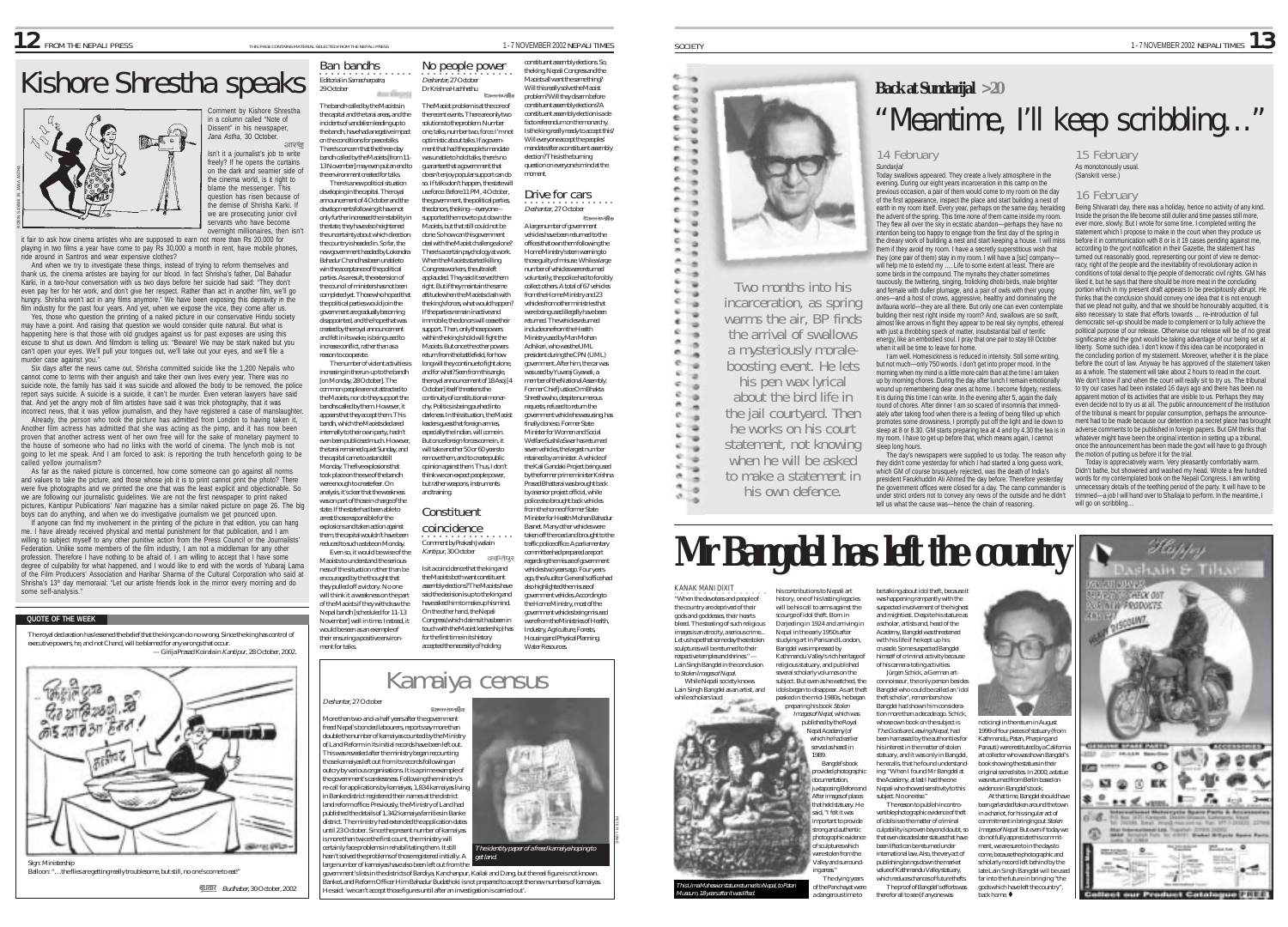# Kishore Shrestha speaks <sup>Ban</sup> bandhs .... No people power assembly elections. So, the Congress and the Same thing?<br>
Will be a speaker of the Manuel Congress and the same thing? Will the same thing? Will the Same thing?<br>
Wi



it fair to ask how cinema artistes who are supposed to earn not more than Rs 20,000 for playing in two films a year have come to pay Rs 30,000 a month in rent, have mobile phones, ride around in Santros and wear expensive clothes?

And when we try to investigate these things, instead of trying to reform themselves and thank us, the cinema artistes are baying for our blood. In fact Shrisha's father, Dal Bahadur Karki, in a two-hour conversation with us two days before her suicide had said: "They don't even pay her for her work, and don't give her respect. Rather than act in another film, we'll go hungry. Shrisha won't act in any films anymore." We have been exposing this depravity in the film industry for the past four years. And yet, when we expose the vice, they come after us.

Yes, those who question the printing of a naked picture in our conservative Hindu society may have a point. And raising that question we would consider quite natural. But what is happening here is that those with old grudges against us for past exposes are using this excuse to shut us down. And filmdom is telling us: "Beware! We may be stark naked but you can't open your eyes. We'll pull your tongues out, we'll take out your eyes, and we'll file a murder case against you."

Six days after the news came out, Shrisha committed suicide like the 1,200 Nepalis who cannot come to terms with their anguish and take their own lives every year. There was no suicide note, the family has said it was suicide and allowed the body to be removed, the police report says suicide. A suicide is a suicide, it can't be murder. Even veteran lawyers have said that. And yet the angry mob of film artistes have said it was trick photography, that it was

incorrect news, that it was vellow journalism, and they have registered a case of manslaughter Already, the person who took the picture has admitted from London to having taken it. Another film actress has admitted that she was acting as the pimp, and it has now been proven that another actress went of her own free will for the sake of monetary payment to the house of someone who had no links with the world of cinema. The lynch mob is not going to let me speak. And I am forced to ask: is reporting the truth henceforth going to be called yellow journalism?

As far as the naked picture is concerned, how come someone can go against all norms and values to take the picture, and those whose job it is to print cannot print the photo? There were five photographs and we printed the one that was the least explicit and objectionable. So we are following our journalistic guidelines. We are not the first newspaper to print naked pictures, Kantipur Publications' *Nari* magazine has a similar naked picture on page 26. The big boys can do anything, and when we do investigative journalism we get pounced upon. If anyone can find my involvement in the printing of the picture in that edition, you can hang

me. I have already received physical and mental punishment for that publication, and I am willing to subject myself to any other punitive action from the Press Council or the Journalists Federation. Unlike some members of the film industry, I am not a middleman for any other profession. Therefore I have nothing to be afraid of. I am willing to accept that I have some degree of culpability for what happened, and I would like to end with the words of Yubaraj Lama of the Film Producers' Association and Harihar Sharma of the Cultural Corporation who said at Shrisha's 13<sup>th</sup> day memoraial: "Let our artiste friends look in the mirror every morning and do some self-analysis."

# **QUOTE OF THE WEEK**

The royal declaration has lessened the belief that the king can do no wrong. Since the king has control of executive powers, he, and not Chand, will be blamed for any wrongs that occur. — Girija Prasad Koirala in Kantipur, 28 October, 2002.



**·**<br>Editorial in Samacharpatra, 29 October The bandh called by the Maoists in the capital and the tarai areas, and the

Ban bandhs

Comment by Kishore Shrestha in a column called "Note of incidents of vandalism leading up to Dissent" in his newspaper the bandh, have had a negative impact *Jana Astha*, 30 October. on the conditions for peace talks.  $307990$ There's concern that the three-day Isn't it a journalist's job to write bandh called by the Maoists [from 11 freely? If he opens the curtains 13 November] may even put an end to on the dark and seamier side of the environment created for talks. the cinema world, is it right to There's a new political situation blame the messenger. This developing in the capital. The royal question has risen because of announcement of 4 October and the

developments following it have not only further increased the instability in the state, they have also heightened the uncertainty about which direction the country is headed in. So far, the the demise of Shrisha Karki. If we are prosecuting junior civil servants who have become overnight millionaires, then isn't

new must ment headed by Lokendra Bahadur Chand has been unable to win the acceptance of the political parties. As a result, the extension of the council of ministers has not been completed yet. Those who hoped that the political parties would join the government are gradually becoming disappointed, and the hope that wa created by the royal announcement and felt in its wake, is being used to increase conflict, rather than as a

reason to cooperate. The number of violent activities is increasing in the run-up to the bandh [on Monday, 28 October]. The common people are not attracted to the Maoists, nor do they support the bandhs called by them. However, it appears that they accept them. This bandh, which the Maoists declared internally to their own party, hadn't even been publicised much. However, the tarai remained quiet Sunday, and the capital came to a standstill Monday. The five explosions that took place on the eve of the bandh were enough to create fear. On Maoists. But once the other powers return from the battlefield, for how long will they continue to fight alone, and for what? Seen from this angle, the royal announcement of 18 Asoj [4 October] itself threatens the continuity of constitutional monarchy. Politics is being pushed into darkness. In this situation, the Maoist leaders guess that foreign armies, especially the Indian, will come in. But once foreign forces come in, it will take another 50 or 60 years to remove them, and to create public opinion against them. Thus, I don't think we can expect people power, but rather weapons, instruments

analysis, it's clear that the weaknes was on part of those in charge of the state. If the state had been able to arrest those responsible for the and training. **Constituent** 

ment for talks.

Deshantar, 27 October

explosions and taken action against them, the capital wouldn't have been reduced to such a state on Monday. Even so, it would be wise of the Maoists to understand the serious-.<br>Comment by Prakash Jwala in coincidence Kantipur, 30 October

ness of the situation rather than be encouraged by the thought that they pulled off a victory. No one will think it a weakness on the part of the Maoists if they withdraw the Nepal bandh [scheduled for 11-13 November] well in time. Instead, it would be seen as an example of their ensuring a positive environ-Is it a coincidence that the king and the Maoists both want constituent assembly elections? The Maoists have said the decision is up to the king and have asked him to make up his mind. On the other hand, the Nepali Congress (which claims it has been in touch with the Maoist leadership) has for the first time in its history accepted the necessity of holding

Kamaiya census

# **देशमन्त्र साम्ताहिक**

More than two-and-a-half years after the government freed Nepal's bonded labourers, reports say more than double the number of kamaiyas counted by the Ministry of Land Reform in its initial records have been left out. This was revealed after the ministry began recounting those kamaiyas left out from its records following an outcry by various organisations. It is a prime example of the government's carelessness. Following the ministry's re-call for applications by kamaiyas, 1,834 kamaiyas living in Banke district registered their names at the district land reform office. Previously, the Ministry of Land had published the details of 1,342 kamaiya families in Banke district. The ministry had extended the application dates until 23 October. Since the present number of kamaiyas is more than twice the first count, the ministry will certainly face problems in rehabilitating them. It still

asn't solved the problems of those registered initially. A large number of kamaiyas have also been left out from the ernment's lists in the districts of Bardiya, Kanchanpur, Kailali and Dang, but the real figure is not known. The identity paper of a freed kamaiya hoping to get land.

Banke Land Reform Officer Him Bahadur Budathoki is not prepared to accept the new numbers of kamaiyas. He said: 'we can't accept those figures until after an investigation is carried out'.

○○○○○○○○○○○○○○○○ Deshantar, 27 October No people power Dr Krishna Hachhethu The Maoist problem is at the core of the recent events. There are only two solutions to the problem. Number one, talks, number two, force. I'm not optimistic about talks. If a government that had the people's mandate was unable to hold talks, there's no guarantee that a government that doesn't enjoy popular support can do so. If talks don't happen, the state will use force. Before 11 PM, 4 October, the government, the political parties, the donors, the king—everyone supported the move to put down the Maoists, but that still could not be done. So how can this government

When the Maoists started killing Congress workers, the ultra left applauded. They said it served them right. But if they maintain the same

If the parties remain inactive and

support. Then, only those powers within the king's hold will fight the

 $\sim$ e. 19 e **S**  $\sim$ 74 e. 10  $\sim$ 74b c

 $\overline{\phantom{a}}$ ۰ ×. ۰ ÷ -5 ٠  $\overline{\phantom{a}}$ 

`ø. ٠  $\epsilon$ ×.  $\sim$ ۰ **A** -3  $-5$ an- $\mathcal{L}$  $\alpha$  $\sim$  $\bullet$ -m

constituent assembly elections? A constituent assembly election is a de facto referendum on the monarchy. Is the king really ready to accept this? Will everyone accept the peoples' mandate after a constituent assembly election? This is the burning question on everyone's mind at the moment.

Drive for cars ○○○○○○○○○○○○○○○○ Deshantar, 27 October **Stavorite-May** 

A large number of government vehicles have been returned to the deal with the Maoist challenge alone? offices that own them following the There's a certain psychology at work. Home Ministry's stern warning to those guilty of misuse. While a large number of vehicles were returned voluntarily, the police had to forcibly collect others. A total of 67 vehicles attitude when the Maoists clash with from the Home Ministry and 23 the king's forces, what would happen? vehicles from other ministries that were being used illegally have been immobile, the donors will cease their returned. The vehicles returned include one from the Health Ministry used by Man Mohan Adhikari, who was the UML president during the CPN (UML) government. After him, the car was was used by Yuvaraj Gyawali, a member of the National Assembly. Former Chief Justice Om Bhakta Shrestha who, despite numerous requests, refused to return the government vehicle he was using, has finally done so. Former State Minister for Women and Social Welfare Sushila Swar has returned seven vehicles, the largest number retained by a minister. A vehicle of the Kali Gandaki Project being used by the former prime minister Krishna Prasad Bhattarai was brought back by a senior project official, while police also brought back vehicles from the home of former State Minister for Health Mohan Bahadur Basnet. Many other vehicles were taken off the road and brought to the traffic police office. A parliamentary कालियर

committee had prepared a report regarding the misuse of government vehicles two years ago. Four years ago, the Auditor General's office had also highlighted the misuse of government vehicles. According to the Home Ministry, most of the government vehicles being misused were from the Ministries of Health Industry, Agriculture, Forests, Housing and Physical Planning, Water Resources.

PETER LOWE



incarceration, as spring warms the air, BP finds his own defence.

# **Back at Sundarijal >20** "Meantime, I'll keep scribbling…"

# 14 February *Sundarijal*

Today swallows appeared. They create a lively atmosphere in the evening. During our eight years incarceration in this camp on the previous occasion, a pair of them would come to my room on the day of the first appearance, inspect the place and start building a nest of earth in my room itself. Every year, perhaps on the same day, heralding the advent of the spring. This time none of them came inside my room. They flew all over the sky in ecstatic abandon—perhaps they have no intention being too happy to engage from the first day of the spring in the dreary work of building a nest and start keeping a house. I will miss them if they avoid my room. I have a secretly superstitious wish that they (one pair of them) stay in my room. I will have a [sic] companywill help me to extend my …. Life to some extent at least. There are some birds in the compound. The mynahs they chatter sometimes raucously, the twittering, singing, frolicking dhobi birds, male brighter and female with duller plumage, and a pair of owls with their young ones—and a host of crows, aggressive, healthy and dominating the avifauna world—they are all there. But only one can even contemplate building their nest right inside my room? And, swallows are so swift, almost like arrows in flight they appear to be real sky nymphs, ethereal with just a throbbing speck of matter, insubstantial ball of terrific. energy, like an embodied soul. I pray that one pair to stay till October when it will be time to leave for home.

I am well. Homesickness is reduced in intensity. Still some writing, but not much—only 750 words. I don't get into proper mood. In the morning when my mind is a little more calm than at the time I am taken up by morning chores. During the day after lunch I remain emotionally wound up remembering dear ones at home. I become fidgety, restless. It is during this time I can write. In the evening after 5, again the daily round of chores. After dinner I am so scared of insomnia that immediately after taking food when there is a feeling of being filled up which promotes some drowsiness, I promptly put off the light and lie down to sleep at 8 or 8.30. GM starts preparing tea at 4 and by 4.30 the tea is in my room. I have to get up before that, which means again, I cannot sleep long hours. The day's newspapers were supplied to us today. The reason why

they didn't come yesterday for which I had started a long guess work, which GM of course brusquely rejected, was the death of India's president Farukhuddin Ali Ahmed the day before. Therefore yesterda the government offices were closed for a day. The camp commander is under strict orders not to convey any news of the outside and he didn't

15 February As monotonously usual. (Sanskrit verse.)

# 16 February

Being Shivaratri day, there was a holiday, hence no activity of any kind. Inside the prison the life become still duller and time passes still more ever more, slowly. But I wrote for some time. I completed writing the statement which I propose to make in the court when they produce us before it in communication with 8 or is it 19 cases pending against me according to the govt notification in their Gazette, the statement has turned out reasonably good, representing our point of view re democracy, right of the people and the inevitability of revolutionary action in conditions of total denial to thje people of democratic civil rights. GM has liked it, but he says that there should be more meat in the concluding portion which in my present draft appears to be precipitously abrupt. He thinks that the conclusion should convey one idea that it is not enough that we plead not guilty, and that we should be honourably acquitted, it is also necessary to state that efforts towards … re-introduction of full democratic set-up should be made to complement or to fully achieve the political purpose of our release. Otherwise our release will be of no great significance and the govt would be taking advantage of our being set at liberty. Some such idea. I don't know if this idea can be incorporated in the concluding portion of my statement. Moreover, whether it is the place before the court of law. Anyway he has approved of the statement taken as a whole. The statement will take about 2 hours to read in the court. We don't know if and when the court will really sit to try us. The tribunal to try our cases had been instated 16 days ago and there has been no apparent motion of its activities that are visible to us. Perhaps they may even decide not to try us at all. The public announcement of the institution of the tribunal is meant for popular consumption, perhaps the announcement had to be made because our detention in a secret place has brought adverse comments to be published in foreign papers. But GM thinks that whatever might have been the original intention in setting up a tribunal, once the announcement has been made the govt will have to go through

Today is appreciatively warm. Very pleasantly comfortably warm. Didn't bathe, but showered and washed my head. Wrote a few hundred words for my contemplated book on the Nepali Congress. I am writing unnecessary details of the teething period of the party. It will have to be trimmed—a job I will hand over to Shailaja to perform. In the meantime, will go on scribbling…

### KANAK MANI DIXIT "When the devotees and people of the country are deprived of their gods and goddesses, their hearts bleed. The stealing of such religiou images is an atrocity, a serious crime. Let us hope that some day these stolen sculptures will be returned to their respective temples and shrines." — Lain Singh Bangdel in the conclusion to Stolen Images of Nepal. his contributions to Nepali art history, one of his lasting legacies will be his call to arms against the scourge of idol theft. Born in Darieeling in 1924 and arriving in Nepal in the early 1950s after studying art in Paris and London, Bangdel was impressed by Kathmandu Valley's rich heritage of religious statuary, and published several scholarly volumes on the

While Nepali society knows Lain Singh Bangdel as an artist, and while scholars laud subject. But even as he watched, the idols began to disappear. As art theft peaked in the mid-1980s, he began

preparing his book Stolen Images of Nepal, which was published by the Royal Nepal Academy (of which he had earlier served as head) in

> ...<br>Bangdel's book provided photographic

.<br>instant to provid

tographic evidence

were stolen from the



of the Panchayat were a dangerous time to Nepal, to Patar Museum, 18 years after it was lifted.

be talking about idol theft, because it was happening rampantly with the suspected involvement of the highest and mightiest. Despite his stature as a scholar, artists and, head of the Academy, Bangdel was threatened with his life if he kept up his crusade. Some suspected Bangdel himself of criminal activity because of his camera-toting activities. Jürgen Schick, a German artconnoisseur, the only person besides Bangdel who could be called an 'idol

theft scholar', remembers how Bangdel had shown him consideration more than a decade ago. Schick, whose own book on the subject is The Gods are Leaving Nepal, had been harrassed by the authorities for his interest in the matter of stolen statuary, and it was only in Bangdel, he recalls, that he found understanding: "When I found Mr Bangdel at the Academy, at last I had the one Nepali who showed sensitivity to this

subject. No one else." The reason to publish incontrovertible photographic evidence of theft of idols is so the matter of criminal culpability is proven beyond doubt, so that even decades later statues that have been lifted can be returned under international law. Also, the very act of publishing brings down the market value of Kathmandu Valley statuary, which reduces chances of future thefts. The proof of Bangdel's efforts was there for all to see (if anyone was

noticing) in the return in August 1999 of four pieces of statuary (from Kathmandu, Patan, Pharping and Panauti) were restituted by a Californi art collector who was shown Bangdel's book showing the statues in their original sacred sites. In 2000, a statue was returned from Berlin based on evidence in Bangdel's book. At that time, Bangdel should have

been garlanded taken around the town in a chariot, for his singular act of commitment in bringing out Stolen Images of Nepal. But even if today we do not fully appreciate this commitment, we are sure to in the days to come, because the photographic and scholarly record left behind by the late Lain Singh Bangdel will be used far into the future in bringing "the gods which have left the country", back home.



# tell us what the cause was—hence the chain of reasoning. **Mr Bangdel has left the country**



the arrival of swallows a mysteriously morale-<br>boosting event. He lets<br>his pen wax lyrical<br>about the bird life in the jail courtyard. Then he works on his court statement, not knowing when he will be asked to make a statement in

**12** FROM THE NEPALI PRESS THE NEW THIS PAGE CONTAINS MATERIAL SELECTED FROM THE NEPALI PRESS 1 - 7 NOVEMBER 2002 NEPALI TIMES



the motion of putting us before it for the trial.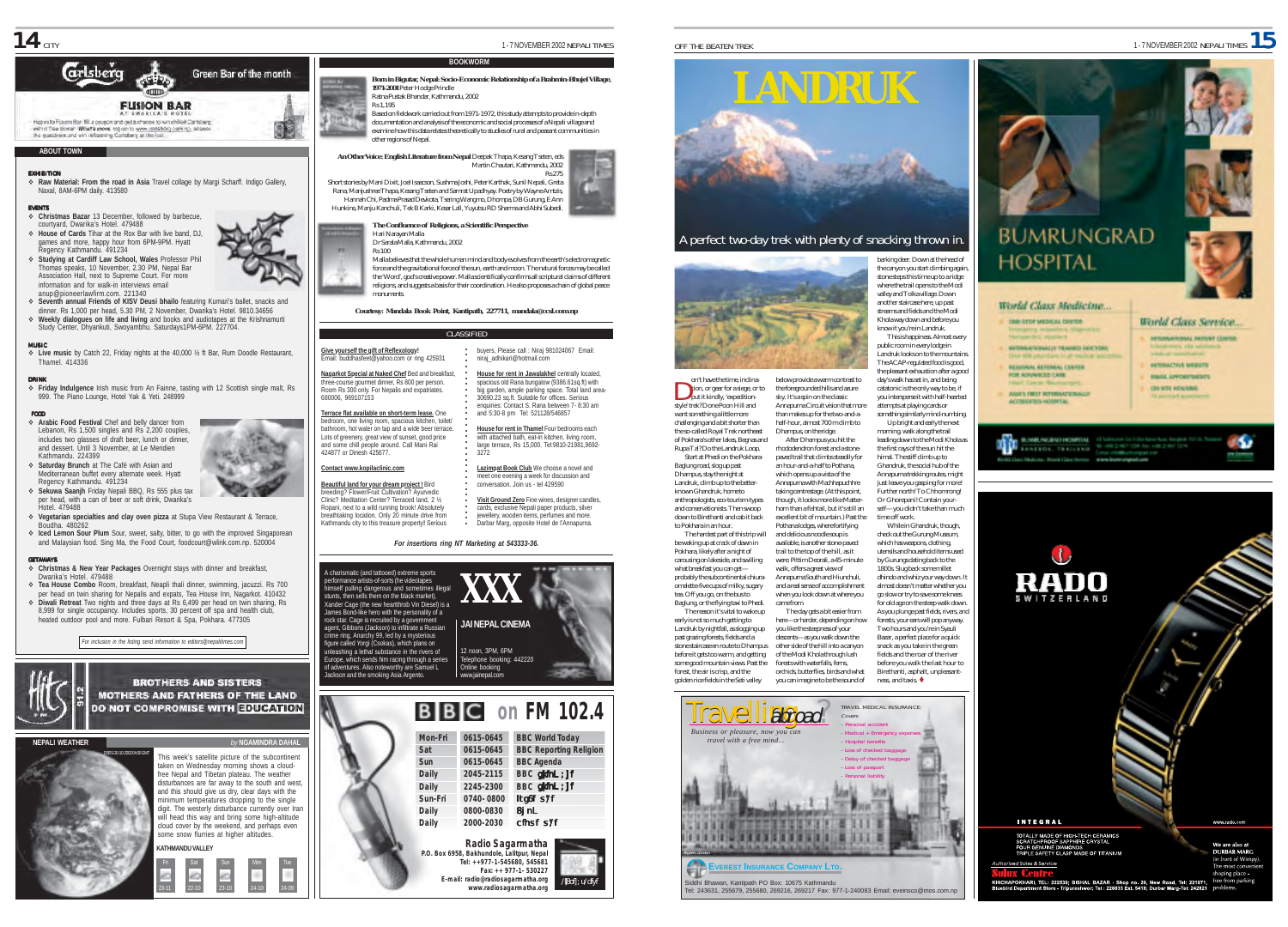

# **Grisberc** Green Bar of the month **FUSION RAR** How in Figure Black fill a council and relations to win chile Carlows rtgent to rusen task till a deugon and get a crance to who chilled uarts:<br>with a fee diment what's events log on to www.cadebag.com.np, als<br>the questions and win referening Carlsberg at the cat:

### **ABOUT TOWN**

EXHIBITION % **Raw Material: From the road in Asia** Travel collage by Margi Scharff. Indigo Gallery, Naxal, 8AM-6PM daily. 413580

EVENTS

- % **Christmas Bazar** 13 December, followed by barbecue, courtyard, Dwarika's Hotel. 479488 % **House of Cards** Tihar at the Rox Bar with live band, DJ,
- games and more, happy hour from 6PM-9PM. Hyatt Regency Kathmandu. 491234 % **Studying at Cardiff Law School, Wales** Professor Phil Thomas speaks, 10 November, 2.30 PM, Nepal Bar
- Association Hall, next to Supreme Court. For more information and for walk-in interviews email anup@pioneerlawfirm.com. 221340
- % **Seventh annual Friends of KISV Deusi bhailo** featuring Kumari's ballet, snacks and dinner. Rs 1,000 per head, 5.30 PM, 2 November, Dwarika's Hotel. 9810.34656 % **Weekly dialogues on life and living** and books and audiotapes at the Krishnamurti
- Study Center, Dhyankuti, Swoyambhu. Saturdays1PM-6PM. 227704.

### MUSIC MU S I C

% **Live music** by Catch 22, Friday nights at the 40,000 ½ ft Bar, Rum Doodle Restaurant, Thamel. 414336

**DRINK**<br>\* Friday Indulgence Irish music from An Fainne, tasting with 12 Scottish single malt, Rs 999. The Piano Lounge, Hotel Yak & Yeti. 248999

### FOOD

- % **Arabic Food Festival** Chef and belly dancer from Lebanon, Rs 1,500 singles and Rs 2,200 couples, includes two glasses of draft beer, lunch or dinner, and dessert. Until 3 November, at Le Meridien Kathmandu. 224399 % **Saturday Brunch** at The Café with Asian and
- Mediterranean buffet every alternate week. Hyatt Regency Kathmandu. 491234 % **Sekuwa Saanjh** Friday Nepali BBQ, Rs 555 plus tax
- per head, with a can of beer or soft drink, Dwarika's Hotel. 479488
- % **Vegetarian specialties and clay oven pizza** at Stupa View Restaurant & Terrace, Boudha. 480262
- % **Iced Lemon Sour Plum** Sour, sweet, salty, bitter, to go with the improved Singaporean and Malaysian food. Sing Ma, the Food Court, foodcourt@wlink.com.np. 520004 GETAWAYS

- % **Christmas & New Year Packages** Overnight stays with dinner and breakfast, Dwarika's Hotel. 479488
- % **Tea House Combo** Room, breakfast, Neapli thali dinner, swimming, jacuzzi. Rs 700 per head on twin sharing for Nepalis and expats, Tea House Inn, Nagarkot. 410432 % **Diwali Retreat** Two nights and three days at Rs 6,499 per head on twin sharing, Rs 8,999 for single occupancy. Includes sports, 30 percent off spa and health club,



**BROTHERS AND SISTERS** 





**Born in Bigutar, Nepal: Socio-Economic Relationship of a Brahmin-Bhujel Village, 1971-2001** Peter Hodge Prindle

Ratna Pustak Bhandar, Kathmandu, 2002 Rs 1,195

Based on fieldwork carried out from 1971-1972, this study attempts to provide in-depth documentation and analysis of the economic and social processes of a Nepali village and examine how this data relates theoretically to studies of rural and peasant communities in other regions of Nepal.<br>hther regions of Nepal.

**BOOKWORM**



Short stories by Mani Dixit, Joel Isaacson, Sushma Joshi, Peter Karthak, Sunil Nepali, Greta Rana, Manjushree Thapa, Kesang Tseten and Samrat Upadhyay. Poetry by Wayne Amtzis, Hannah Chi, Padma Prasad Devkota, Tsering Wangmo, Dhompa, DB Gurung, E Ann Hunkins, Manju Kanchuli, Tek B Karki, Kesar Lall, Yuyutsu RD Sharma and Abhi Subedi.

### **The Confluence of Religions, a Scientific Perspective** Hari Narayan Malla

Dr Sarala Malla, Kathmandu, 2002 Rs 100

> Malla believes that the whole human mind and body evolves from the earth's electromagnetic force and the gravitational force of the sun, earth and moon. The natural forces may be called the 'Word', god's creative power. Malla scientifically confirms all scriptural claims of different religions, and suggests a basis for their coordination. He also proposes a chain of global peace monuments.

*Courtesy: Mandala Book Point, Kantipath, 227711, mandala@ccsl.com.np*

# **CLASSIFIED**

**Give yourself the gift of Reflexology!** Email: buddhasfeet@yahoo.com or ring 425931 **Nagarkot Special at Naked Chef** Bed and breakfast, ○○○○○○○○○○○○○○○○○○○○○○○○○○○ buyes, Please call : Ning 1981024667 Email:<br>
Interaction and Control Control Control Control Control Control Control Control Control Control Control Control Control Control Control Control Control Control Control Control C

three-course gourmet dinner, Rs 800 per person. Room Rs 300 only. For Nepalis and expatriates. 680006, 969107153

**Terrace flat available on short-term lease.** One bedroom, one living room, spacious kitchen, toilet/ bathroom, hot water on tap and a wide beer terrace. Lots of greenery, great view of sunset, good price and some chill people around. Call Mani Rai 424877 or Dinesh 425677.

**Contact www.kopilaclinic.com Beautiful land for your dream project !** Bird breeding? Flower/Fruit Cultivation? Ayurvedic

Clinic? Meditation Center? Terraced land, 2 ½ Ropani, next to a wild running brook! Absolutely breathtaking location. Only 20 minute drive from Kathmandu city to this treasure property**!** Serious

### *For insertions ring NT Marketing at 543333-36.*

A charismatic (and tattooed) extreme sports performance artists-of-sorts (he videotapes mself pulling dangerous and sometimes illegal stunts, then sells them on the black market), Xander Cage (the new heartthrob Vin Diesel) is a James Bond-like hero with the personality of a rock star. Cage is recruited by a government agent, Gibbons (Jackson) to infiltrate a Russian crime ring, Anarchy 99, led by a mysterious figure called Yorgi (Csokas), which plans on unleashing a lethal substance in the rivers of Europe, which sends him racing through a series of adventures. Also noteworthy are Samuel L ackson and the smoking Asia Argento. **XXX** 12 noon, 3PM, 6PM Telephone booking: 442220 Online booking www.jainepal.com **JAI NEPAL CINEMA**





# A perfect two-day trek with plenty of snacking thrown in.



on't have the time, inclination, or gear for a siege, or to put it kindly, 'expeditionstyle' trek? Done Poon Hill and want something a little more challenging and a bit shorter than the so-called Royal Trek northeast of Pokhara's other lakes, Begnas and Rupa Tal? Do the Landruk Loop. Start at Phedi on the Pokhara-Baglung road, slog up past Dhampus, stay the night at Landruk, climb up to the better-Annapurna Circuit vision that more than makes up for the two-and-ahalf-hour, almost 700 m climb to Dhampus, on the ridge. After Dhampus you hit the rhododendron forest and a stonepaved trail that climbs steadily for an hour-and-a-half to Pothana, which opens up a vista of the Annapurna with Machhapuchhre

known Ghandruk, home to anthropologists, eco-tourism-types and conservationists. Then swoop down to Birethanti and cab it back to Pokhara in an hour. The hardest part of this trip will

be waking up at crack of dawn in Pokhara, likely after a night of carousing on lakeside, and swilling what breakfast you can getwalk, offers a great view of came from.

past grazing forests, fields and a stone staircase en route to Dhampus before it gets too warm, and getting some good mountain views. Past the forest, the air is crisp, and the golden rice fields in the Seti valley descents—as you walk down the other side of the hill into a canyon of the Modi Khola through lush forests with waterfalls, ferns, orchids, butterflies, birds and what you can imagine to be the sound of



public room in every lodge in Landruk looks on to the mountains. The ACAP-regulated food is good, the pleasant exhaustion after a good day's walk has set in, and being catatonic is the only way to be, if you intersperse it with half-hearted attempts at playing cards or something similarly mind-numbing. Up bright and early the next morning, walk along the trail leading down to the Modi Khola as the first rays of the sun hit the

himal. The stiff climb up to Ghandruk, the social hub of the Annapurna trekking routes, might just leave you gasping for more Further north! To Chhomrong! Or Ghorepani! Contain yourself—you didn't take than much time off work.

While in Ghandruk, though, check out the Gurung Museum, which has weapons, clothing, utensils and household items used by Gurungs dating back to the 1800s. Slug back some millet dhindo and whiz your way down. It almost doesn't matter whether you go slow or try to save some knees for old age on the steep walk down. As you plunge past fields, rivers, and forests, your ears will pop anyway. Two hours and you're in Syauli Bazar, a perfect place for a quick snack as you take in the green fields and the roar of the river before you walk the last hour to Birethanti, asphalt, unpleasant-

World Class Medicine. **CARL STOP METHODS FROM THE** *INTERACTIONALLY TRAINING DESCRIPTIONS* **RESIDIAN, REFERENC, CENTER** FOR ADVANCED CARS.

> ASAN FREE RESINATIONS **ACCREDITED HOURTH**

**REGARD PACIFICATION REGISTER** 11 STORY **ENSENCE: TRAILERS** TO CONTINUES IN CREDIT







probably the subcontinental chiuraomelette-five cups of milky, sugary tea. Off you go, on the bus to Baglung, or the flying taxi to Phedi. The reason it's vital to wake up early is not so much getting to Landruk by nightfall, as slogging up

taking centrestage. (At this point, though, it looks more like Matterhorn than a fishtail, but it's still an excellent bit of mountain.) Past the Pothana lodges, where fortifying and delicious noodle soup is available, is another stone-paved trail to the top of the hill, as it were. Pittim Deorali, a 45-minute



ness, and taxis.









World Class Service. *SERGENHAMA BERNET COPPER* 

*Union, you asked* **NETRACTIVE MERUTE** 

۰ĸ

*EMAL APPOINTMENTS* 







OFF THE BEATEN TREK **1 - 7 NOVEMBER 2002** NEPALI TIMES **1**